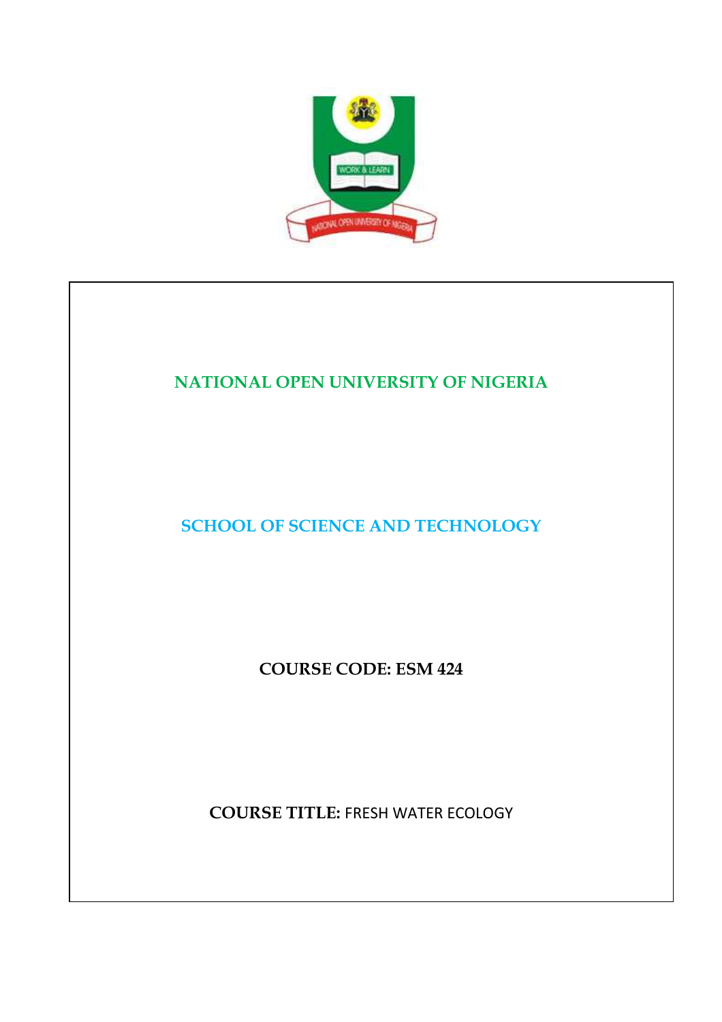

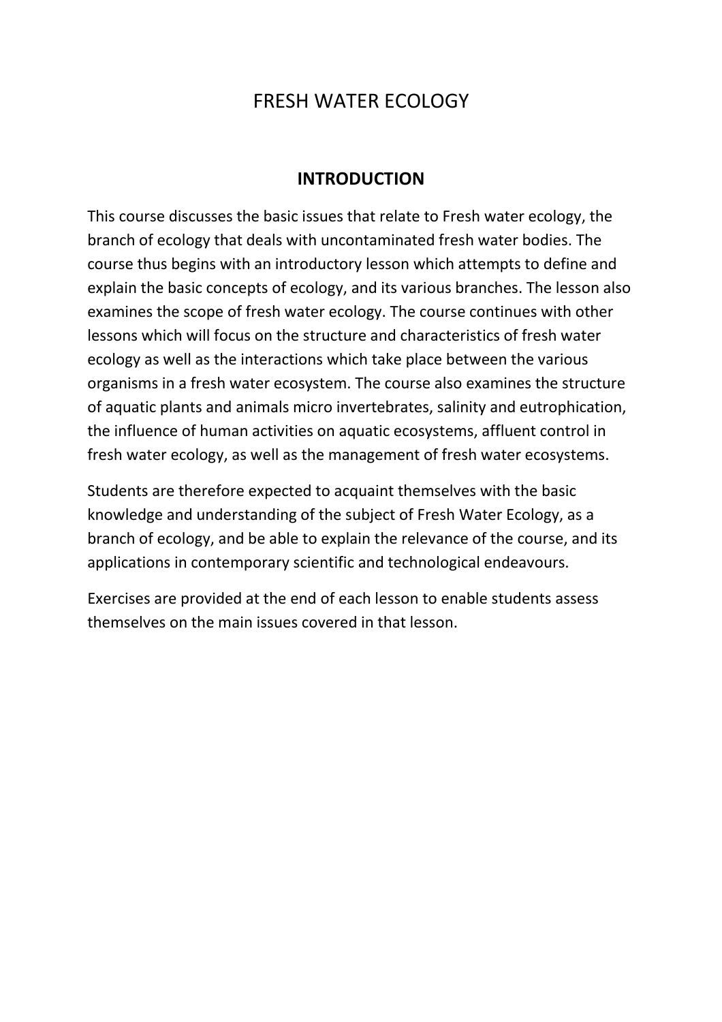# FRESH WATER ECOLOGY

### **INTRODUCTION**

This course discusses the basic issues that relate to Fresh water ecology, the branch of ecology that deals with uncontaminated fresh water bodies. The course thus begins with an introductory lesson which attempts to define and explain the basic concepts of ecology, and its various branches. The lesson also examines the scope of fresh water ecology. The course continues with other lessons which will focus on the structure and characteristics of fresh water ecology as well as the interactions which take place between the various organisms in a fresh water ecosystem. The course also examines the structure of aquatic plants and animals micro invertebrates, salinity and eutrophication, the influence of human activities on aquatic ecosystems, affluent control in fresh water ecology, as well as the management of fresh water ecosystems.

Students are therefore expected to acquaint themselves with the basic knowledge and understanding of the subject of Fresh Water Ecology, as a branch of ecology, and be able to explain the relevance of the course, and its applications in contemporary scientific and technological endeavours.

Exercises are provided at the end of each lesson to enable students assess themselves on the main issues covered in that lesson.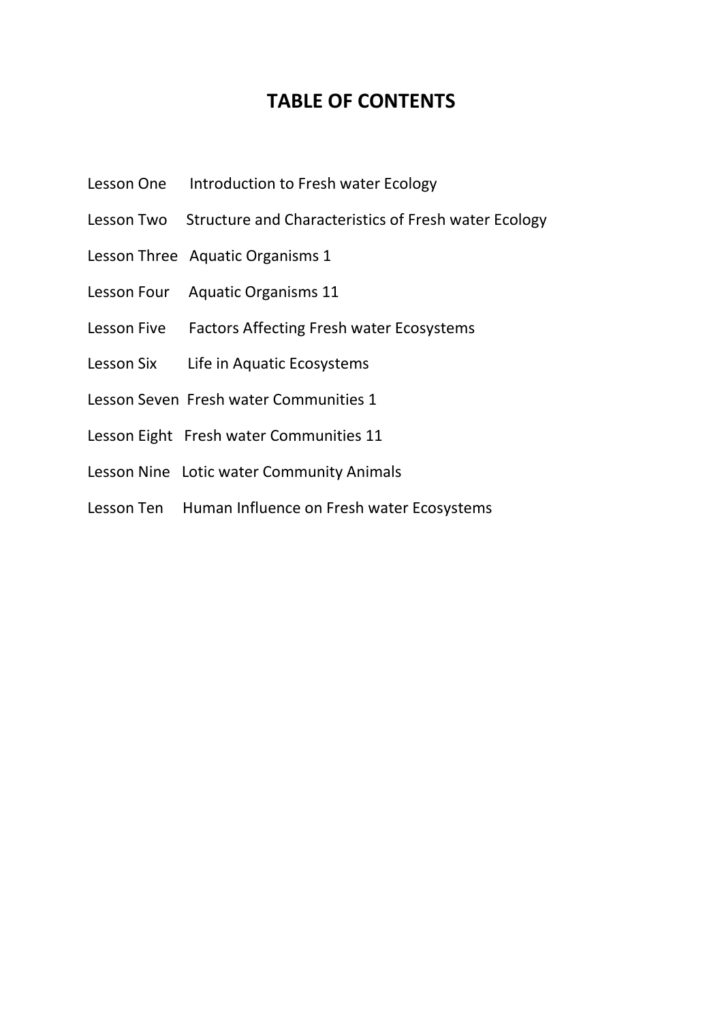## **TABLE OF CONTENTS**

- Lesson One Introduction to Fresh water Ecology
- Lesson Two Structure and Characteristics of Fresh water Ecology
- Lesson Three Aquatic Organisms 1
- Lesson Four Aquatic Organisms 11
- Lesson Five Factors Affecting Fresh water Ecosystems
- Lesson Six Life in Aquatic Ecosystems
- Lesson Seven Fresh water Communities 1
- Lesson Eight Fresh water Communities 11
- Lesson Nine Lotic water Community Animals
- Lesson Ten Human Influence on Fresh water Ecosystems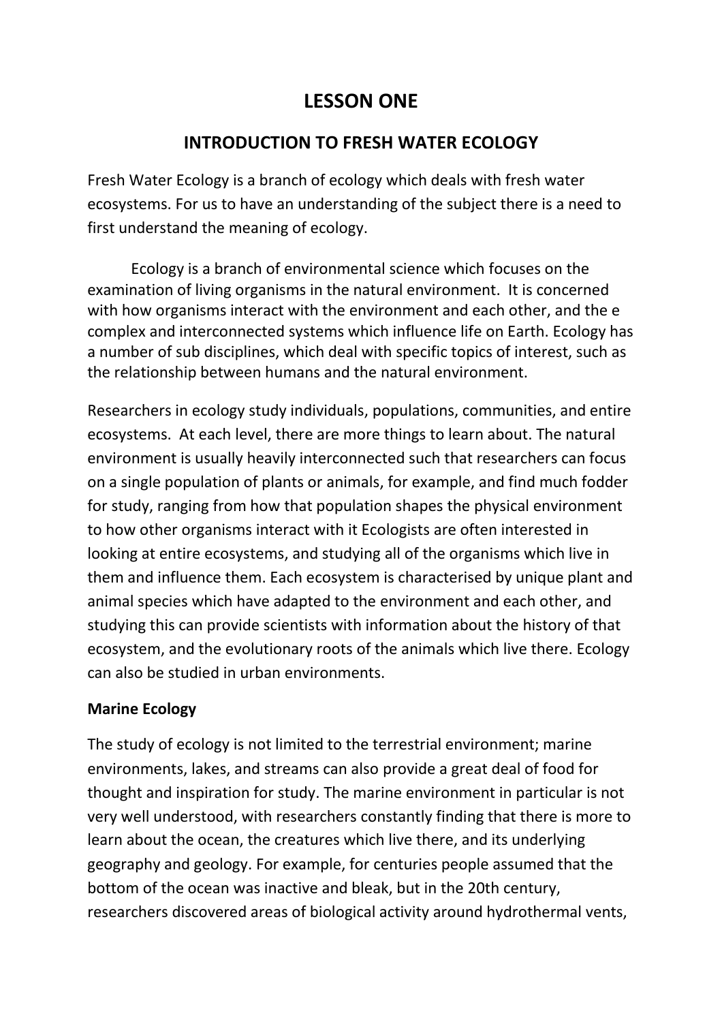# **LESSON ONE**

## **INTRODUCTION TO FRESH WATER ECOLOGY**

Fresh Water Ecology is a branch of ecology which deals with fresh water ecosystems. For us to have an understanding of the subject there is a need to first understand the meaning of ecology.

 Ecology is a branch of environmental science which focuses on the examination of living organisms in the natural environment. It is concerned with how organisms interact with the environment and each other, and the e complex and interconnected systems which influence life on Earth. Ecology has a number of sub disciplines, which deal with specific topics of interest, such as the relationship between humans and the natural environment.

Researchers in ecology study individuals, populations, communities, and entire ecosystems. At each level, there are more things to learn about. The natural environment is usually heavily interconnected such that researchers can focus on a single population of plants or animals, for example, and find much fodder for study, ranging from how that population shapes the physical environment to how other organisms interact with it Ecologists are often interested in looking at entire ecosystems, and studying all of the organisms which live in them and influence them. Each ecosystem is characterised by unique plant and animal species which have adapted to the environment and each other, and studying this can provide scientists with information about the history of that ecosystem, and the evolutionary roots of the animals which live there. Ecology can also be studied in urban environments.

### **Marine Ecology**

The study of ecology is not limited to the terrestrial environment; marine environments, lakes, and streams can also provide a great deal of food for thought and inspiration for study. The marine environment in particular is not very well understood, with researchers constantly finding that there is more to learn about the ocean, the creatures which live there, and its underlying geography and geology. For example, for centuries people assumed that the bottom of the ocean was inactive and bleak, but in the 20th century, researchers discovered areas of biological activity around hydrothermal vents,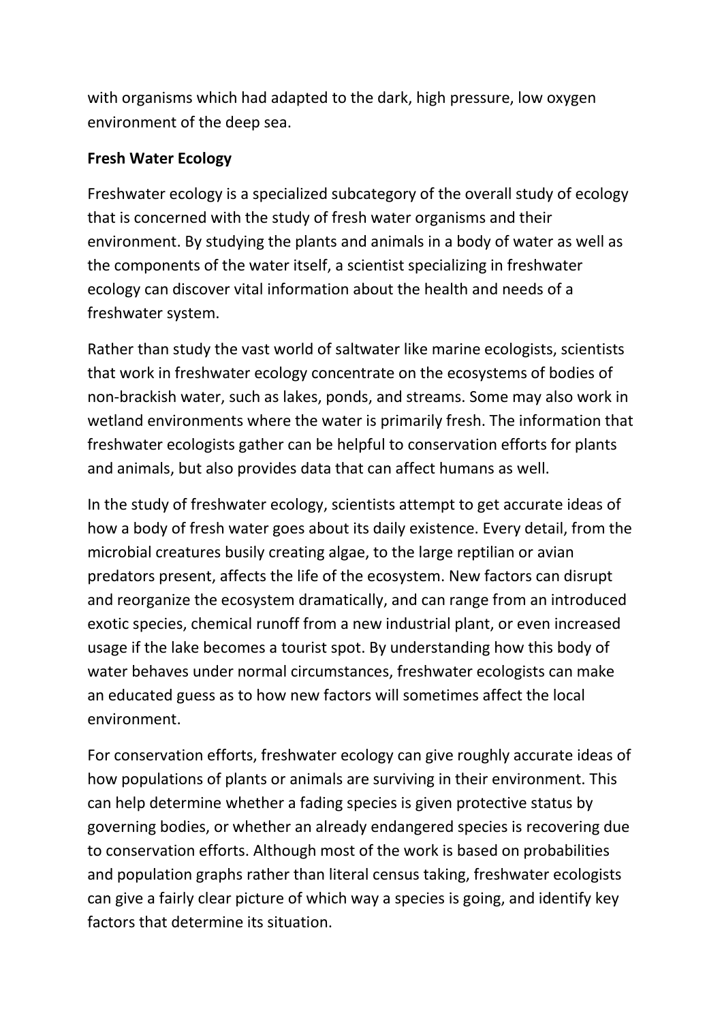with organisms which had adapted to the dark, high pressure, low oxygen environment of the deep sea.

#### **Fresh Water Ecology**

Freshwater ecology is a specialized subcategory of the overall study of ecology that is concerned with the study of fresh water organisms and their environment. By studying the plants and animals in a body of water as well as the components of the water itself, a scientist specializing in freshwater ecology can discover vital information about the health and needs of a freshwater system.

Rather than study the vast world of saltwater like marine ecologists, scientists that work in freshwater ecology concentrate on the ecosystems of bodies of non-brackish water, such as lakes, ponds, and streams. Some may also work in wetland environments where the water is primarily fresh. The information that freshwater ecologists gather can be helpful to conservation efforts for plants and animals, but also provides data that can affect humans as well.

In the study of freshwater ecology, scientists attempt to get accurate ideas of how a body of fresh water goes about its daily existence. Every detail, from the microbial creatures busily creating algae, to the large reptilian or avian predators present, affects the life of the ecosystem. New factors can disrupt and reorganize the ecosystem dramatically, and can range from an introduced exotic species, chemical runoff from a new industrial plant, or even increased usage if the lake becomes a tourist spot. By understanding how this body of water behaves under normal circumstances, freshwater ecologists can make an educated guess as to how new factors will sometimes affect the local environment.

For conservation efforts, freshwater ecology can give roughly accurate ideas of how populations of plants or animals are surviving in their environment. This can help determine whether a fading species is given protective status by governing bodies, or whether an already endangered species is recovering due to conservation efforts. Although most of the work is based on probabilities and population graphs rather than literal census taking, freshwater ecologists can give a fairly clear picture of which way a species is going, and identify key factors that determine its situation.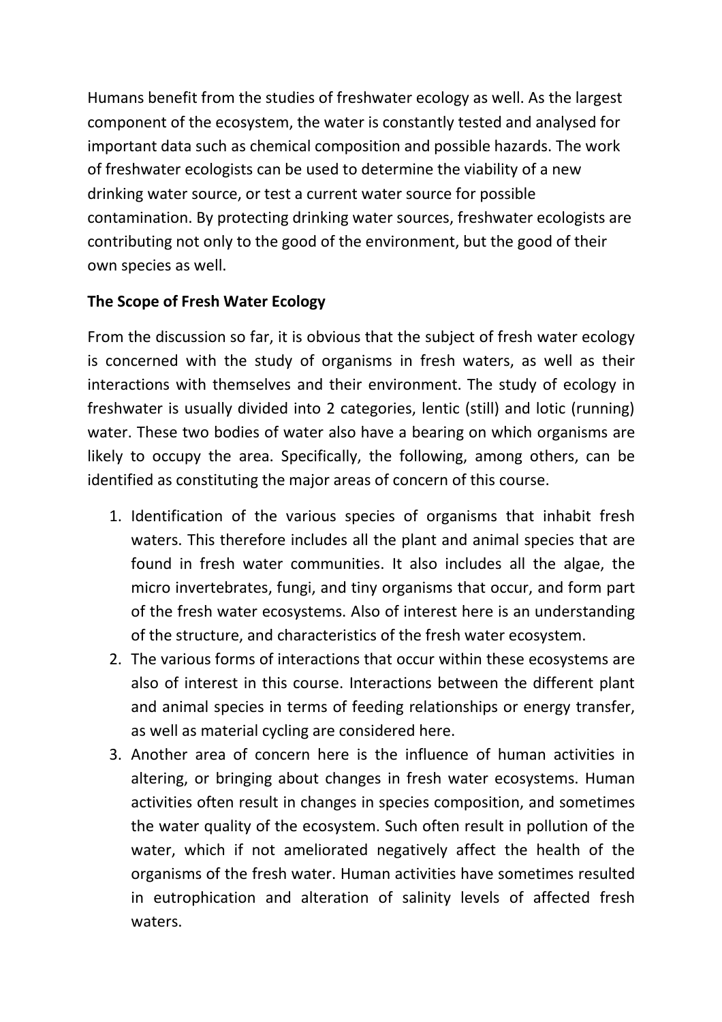Humans benefit from the studies of freshwater ecology as well. As the largest component of the ecosystem, the water is constantly tested and analysed for important data such as chemical composition and possible hazards. The work of freshwater ecologists can be used to determine the viability of a new drinking water source, or test a current water source for possible contamination. By protecting drinking water sources, freshwater ecologists are contributing not only to the good of the environment, but the good of their own species as well.

### **The Scope of Fresh Water Ecology**

From the discussion so far, it is obvious that the subject of fresh water ecology is concerned with the study of organisms in fresh waters, as well as their interactions with themselves and their environment. The study of ecology in freshwater is usually divided into 2 categories, lentic (still) and lotic (running) water. These two bodies of water also have a bearing on which organisms are likely to occupy the area. Specifically, the following, among others, can be identified as constituting the major areas of concern of this course.

- 1. Identification of the various species of organisms that inhabit fresh waters. This therefore includes all the plant and animal species that are found in fresh water communities. It also includes all the algae, the micro invertebrates, fungi, and tiny organisms that occur, and form part of the fresh water ecosystems. Also of interest here is an understanding of the structure, and characteristics of the fresh water ecosystem.
- 2. The various forms of interactions that occur within these ecosystems are also of interest in this course. Interactions between the different plant and animal species in terms of feeding relationships or energy transfer, as well as material cycling are considered here.
- 3. Another area of concern here is the influence of human activities in altering, or bringing about changes in fresh water ecosystems. Human activities often result in changes in species composition, and sometimes the water quality of the ecosystem. Such often result in pollution of the water, which if not ameliorated negatively affect the health of the organisms of the fresh water. Human activities have sometimes resulted in eutrophication and alteration of salinity levels of affected fresh waters.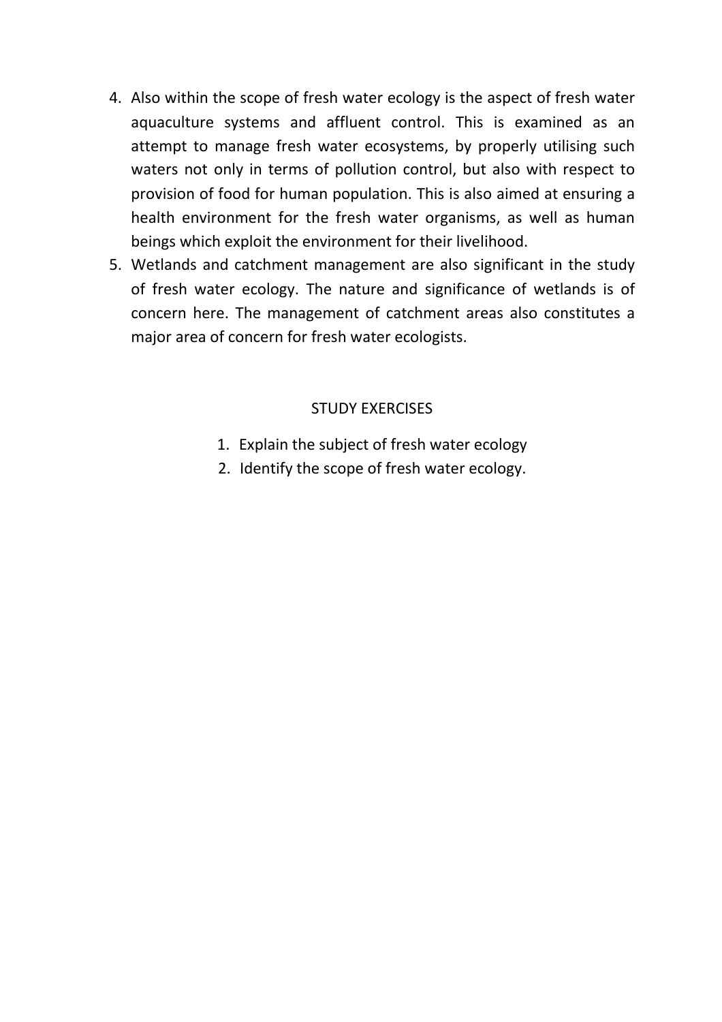- 4. Also within the scope of fresh water ecology is the aspect of fresh water aquaculture systems and affluent control. This is examined as an attempt to manage fresh water ecosystems, by properly utilising such waters not only in terms of pollution control, but also with respect to provision of food for human population. This is also aimed at ensuring a health environment for the fresh water organisms, as well as human beings which exploit the environment for their livelihood.
- 5. Wetlands and catchment management are also significant in the study of fresh water ecology. The nature and significance of wetlands is of concern here. The management of catchment areas also constitutes a major area of concern for fresh water ecologists.

#### STUDY EXERCISES

- 1. Explain the subject of fresh water ecology
- 2. Identify the scope of fresh water ecology.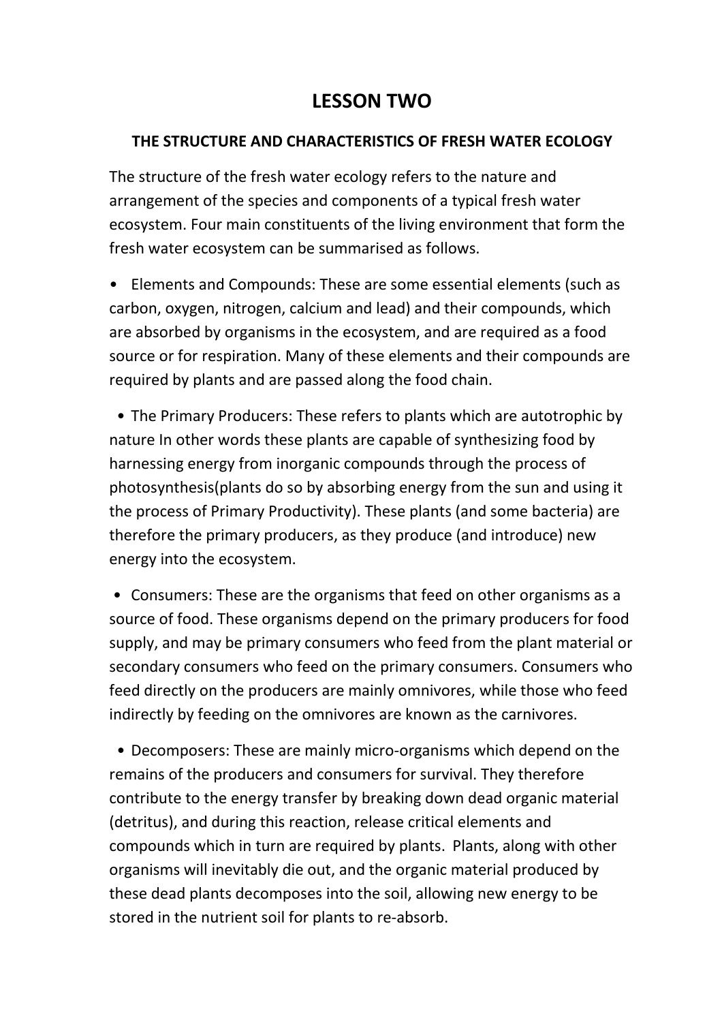# **LESSON TWO**

#### **THE STRUCTURE AND CHARACTERISTICS OF FRESH WATER ECOLOGY**

The structure of the fresh water ecology refers to the nature and arrangement of the species and components of a typical fresh water ecosystem. Four main constituents of the living environment that form the fresh water ecosystem can be summarised as follows.

• Elements and Compounds: These are some essential elements (such as carbon, oxygen, nitrogen, calcium and lead) and their compounds, which are absorbed by organisms in the ecosystem, and are required as a food source or for respiration. Many of these elements and their compounds are required by plants and are passed along the food chain.

 • The Primary Producers: These refers to plants which are autotrophic by nature In other words these plants are capable of synthesizing food by harnessing energy from inorganic compounds through the process of photosynthesis(plants do so by absorbing energy from the sun and using it the process of Primary Productivity). These plants (and some bacteria) are therefore the primary producers, as they produce (and introduce) new energy into the ecosystem.

 • Consumers: These are the organisms that feed on other organisms as a source of food. These organisms depend on the primary producers for food supply, and may be primary consumers who feed from the plant material or secondary consumers who feed on the primary consumers. Consumers who feed directly on the producers are mainly omnivores, while those who feed indirectly by feeding on the omnivores are known as the carnivores.

 • Decomposers: These are mainly micro-organisms which depend on the remains of the producers and consumers for survival. They therefore contribute to the energy transfer by breaking down dead organic material (detritus), and during this reaction, release critical elements and compounds which in turn are required by plants. Plants, along with other organisms will inevitably die out, and the organic material produced by these dead plants decomposes into the soil, allowing new energy to be stored in the nutrient soil for plants to re-absorb.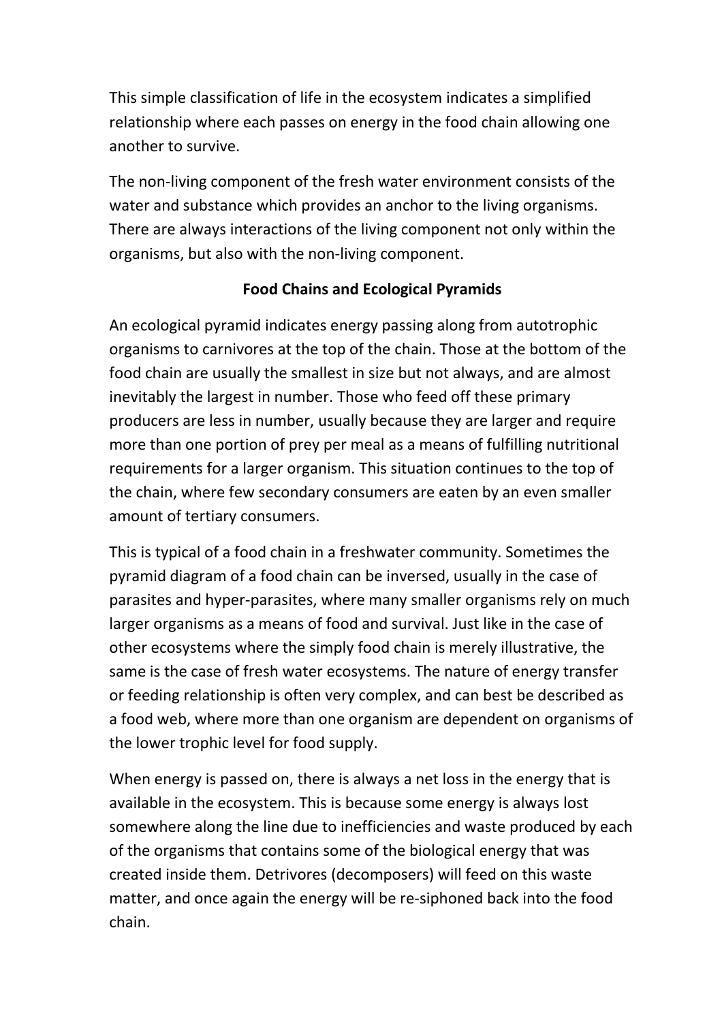This simple classification of life in the ecosystem indicates a simplified relationship where each passes on energy in the food chain allowing one another to survive.

The non-living component of the fresh water environment consists of the water and substance which provides an anchor to the living organisms. There are always interactions of the living component not only within the organisms, but also with the non-living component.

### **Food Chains and Ecological Pyramids**

An ecological pyramid indicates energy passing along from autotrophic organisms to carnivores at the top of the chain. Those at the bottom of the food chain are usually the smallest in size but not always, and are almost inevitably the largest in number. Those who feed off these primary producers are less in number, usually because they are larger and require more than one portion of prey per meal as a means of fulfilling nutritional requirements for a larger organism. This situation continues to the top of the chain, where few secondary consumers are eaten by an even smaller amount of tertiary consumers.

This is typical of a food chain in a freshwater community. Sometimes the pyramid diagram of a food chain can be inversed, usually in the case of parasites and hyper-parasites, where many smaller organisms rely on much larger organisms as a means of food and survival. Just like in the case of other ecosystems where the simply food chain is merely illustrative, the same is the case of fresh water ecosystems. The nature of energy transfer or feeding relationship is often very complex, and can best be described as a food web, where more than one organism are dependent on organisms of the lower trophic level for food supply.

When energy is passed on, there is always a net loss in the energy that is available in the ecosystem. This is because some energy is always lost somewhere along the line due to inefficiencies and waste produced by each of the organisms that contains some of the biological energy that was created inside them. Detrivores (decomposers) will feed on this waste matter, and once again the energy will be re-siphoned back into the food chain.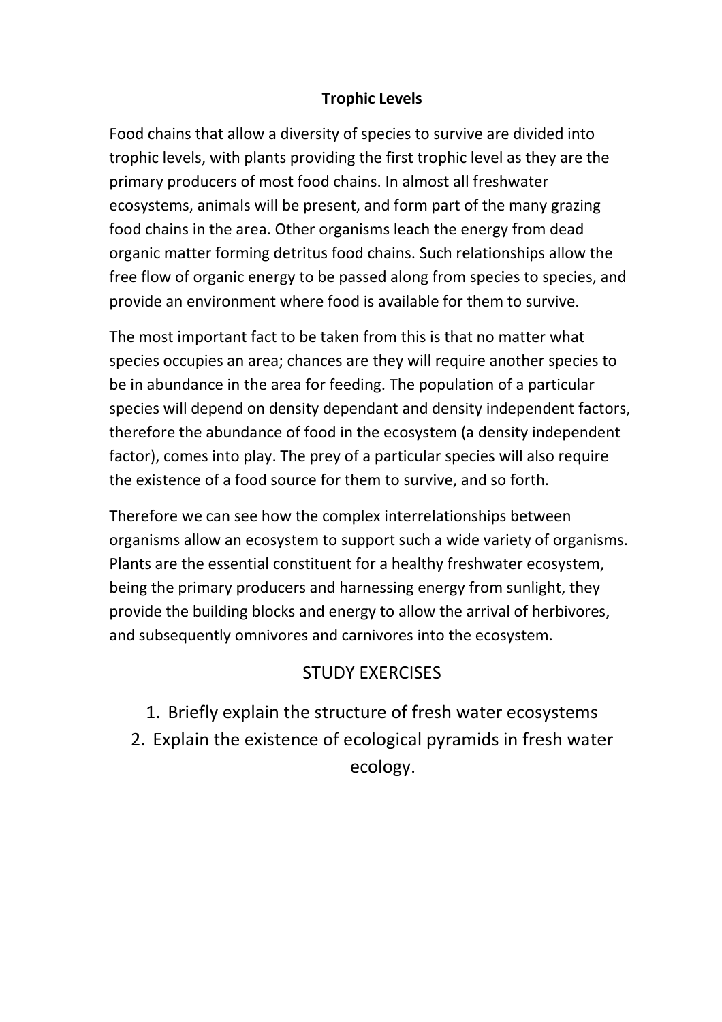### **Trophic Levels**

Food chains that allow a diversity of species to survive are divided into trophic levels, with plants providing the first trophic level as they are the primary producers of most food chains. In almost all freshwater ecosystems, animals will be present, and form part of the many grazing food chains in the area. Other organisms leach the energy from dead organic matter forming detritus food chains. Such relationships allow the free flow of organic energy to be passed along from species to species, and provide an environment where food is available for them to survive.

The most important fact to be taken from this is that no matter what species occupies an area; chances are they will require another species to be in abundance in the area for feeding. The population of a particular species will depend on density dependant and density independent factors, therefore the abundance of food in the ecosystem (a density independent factor), comes into play. The prey of a particular species will also require the existence of a food source for them to survive, and so forth.

Therefore we can see how the complex interrelationships between organisms allow an ecosystem to support such a wide variety of organisms. Plants are the essential constituent for a healthy freshwater ecosystem, being the primary producers and harnessing energy from sunlight, they provide the building blocks and energy to allow the arrival of herbivores, and subsequently omnivores and carnivores into the ecosystem.

## STUDY EXERCISES

- 1. Briefly explain the structure of fresh water ecosystems
- 2. Explain the existence of ecological pyramids in fresh water ecology.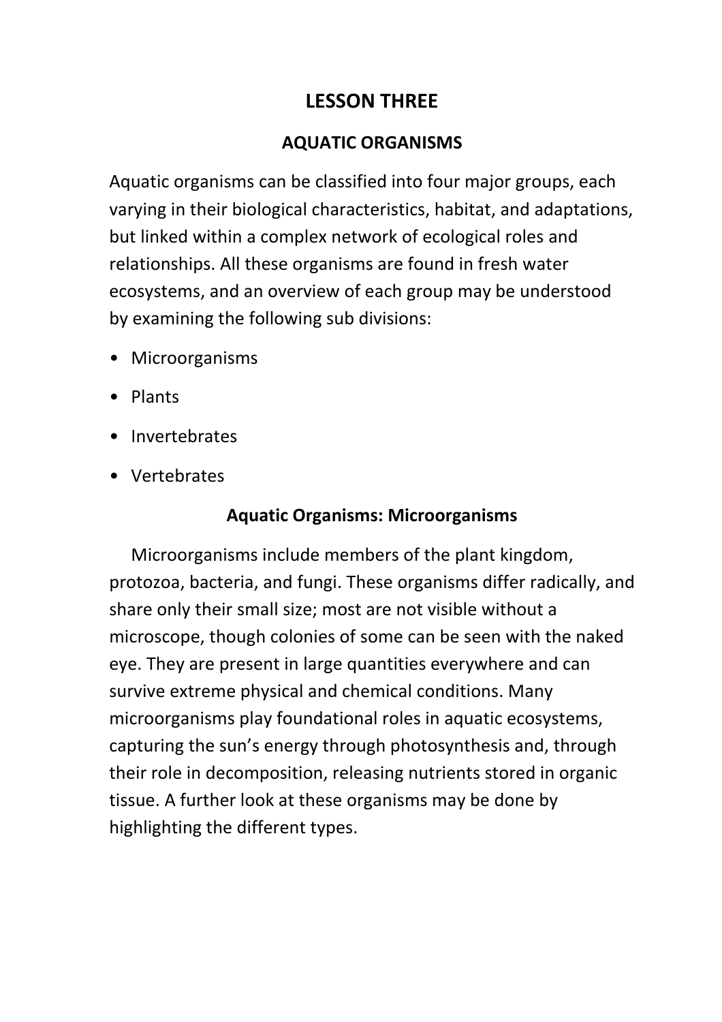# **LESSON THREE**

## **AQUATIC ORGANISMS**

Aquatic organisms can be classified into four major groups, each varying in their biological characteristics, habitat, and adaptations, but linked within a complex network of ecological roles and relationships. All these organisms are found in fresh water ecosystems, and an overview of each group may be understood by examining the following sub divisions:

- Microorganisms
- Plants
- Invertebrates
- Vertebrates

# **Aquatic Organisms: Microorganisms**

 Microorganisms include members of the plant kingdom, protozoa, bacteria, and fungi. These organisms differ radically, and share only their small size; most are not visible without a microscope, though colonies of some can be seen with the naked eye. They are present in large quantities everywhere and can survive extreme physical and chemical conditions. Many microorganisms play foundational roles in aquatic ecosystems, capturing the sun's energy through photosynthesis and, through their role in decomposition, releasing nutrients stored in organic tissue. A further look at these organisms may be done by highlighting the different types.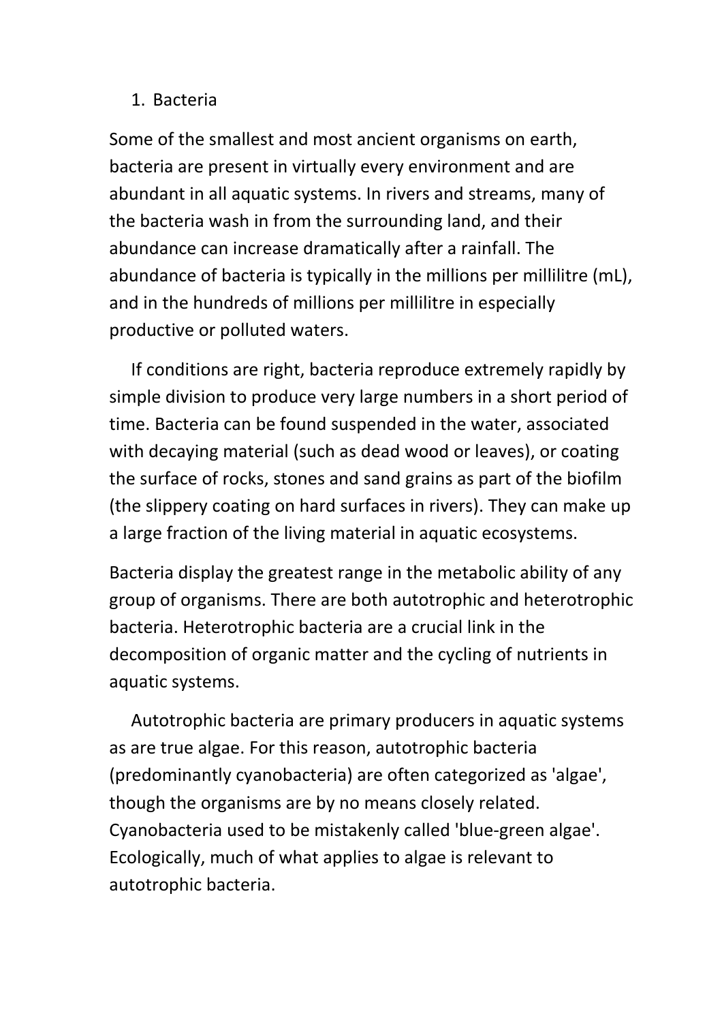### 1. Bacteria

Some of the smallest and most ancient organisms on earth, bacteria are present in virtually every environment and are abundant in all aquatic systems. In rivers and streams, many of the bacteria wash in from the surrounding land, and their abundance can increase dramatically after a rainfall. The abundance of bacteria is typically in the millions per millilitre (mL), and in the hundreds of millions per millilitre in especially productive or polluted waters.

 If conditions are right, bacteria reproduce extremely rapidly by simple division to produce very large numbers in a short period of time. Bacteria can be found suspended in the water, associated with decaying material (such as dead wood or leaves), or coating the surface of rocks, stones and sand grains as part of the biofilm (the slippery coating on hard surfaces in rivers). They can make up a large fraction of the living material in aquatic ecosystems.

Bacteria display the greatest range in the metabolic ability of any group of organisms. There are both autotrophic and heterotrophic bacteria. Heterotrophic bacteria are a crucial link in the decomposition of organic matter and the cycling of nutrients in aquatic systems.

 Autotrophic bacteria are primary producers in aquatic systems as are true algae. For this reason, autotrophic bacteria (predominantly cyanobacteria) are often categorized as 'algae', though the organisms are by no means closely related. Cyanobacteria used to be mistakenly called 'blue-green algae'. Ecologically, much of what applies to algae is relevant to autotrophic bacteria.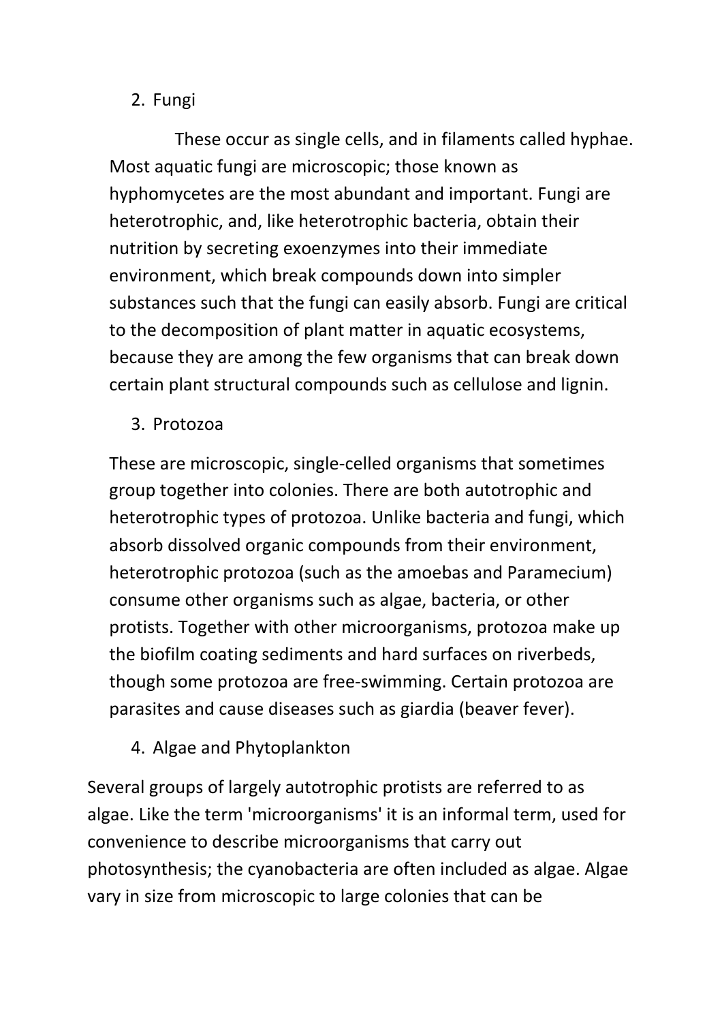## 2. Fungi

 These occur as single cells, and in filaments called hyphae. Most aquatic fungi are microscopic; those known as hyphomycetes are the most abundant and important. Fungi are heterotrophic, and, like heterotrophic bacteria, obtain their nutrition by secreting exoenzymes into their immediate environment, which break compounds down into simpler substances such that the fungi can easily absorb. Fungi are critical to the decomposition of plant matter in aquatic ecosystems, because they are among the few organisms that can break down certain plant structural compounds such as cellulose and lignin.

3. Protozoa

These are microscopic, single-celled organisms that sometimes group together into colonies. There are both autotrophic and heterotrophic types of protozoa. Unlike bacteria and fungi, which absorb dissolved organic compounds from their environment, heterotrophic protozoa (such as the amoebas and Paramecium) consume other organisms such as algae, bacteria, or other protists. Together with other microorganisms, protozoa make up the biofilm coating sediments and hard surfaces on riverbeds, though some protozoa are free-swimming. Certain protozoa are parasites and cause diseases such as giardia (beaver fever).

4. Algae and Phytoplankton

Several groups of largely autotrophic protists are referred to as algae. Like the term 'microorganisms' it is an informal term, used for convenience to describe microorganisms that carry out photosynthesis; the cyanobacteria are often included as algae. Algae vary in size from microscopic to large colonies that can be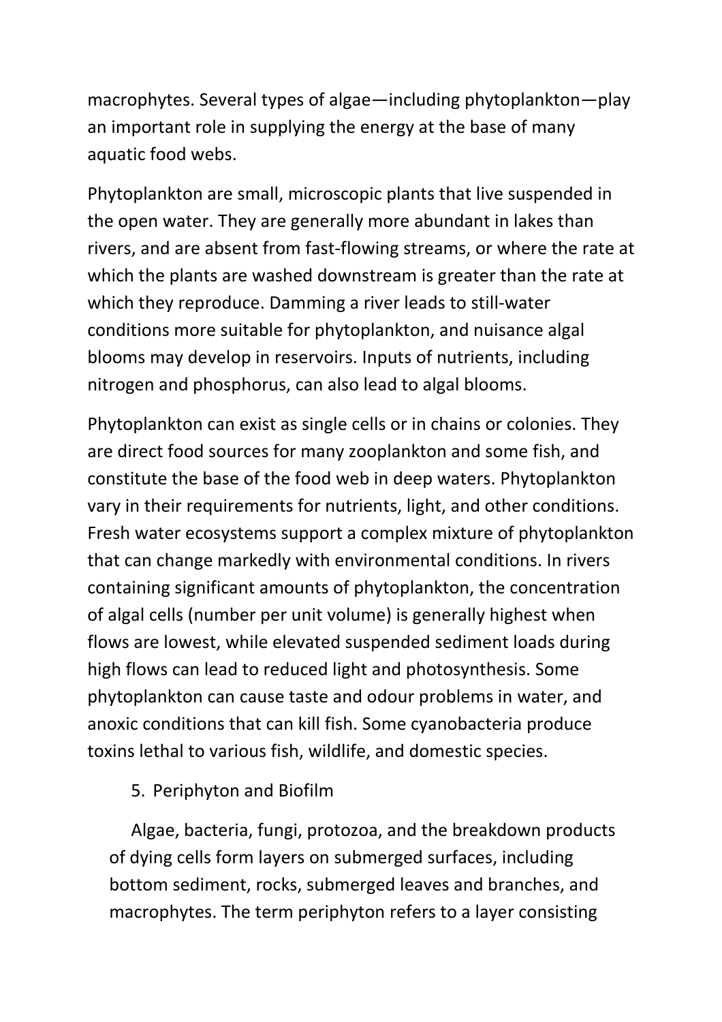macrophytes. Several types of algae—including phytoplankton—play an important role in supplying the energy at the base of many aquatic food webs.

Phytoplankton are small, microscopic plants that live suspended in the open water. They are generally more abundant in lakes than rivers, and are absent from fast-flowing streams, or where the rate at which the plants are washed downstream is greater than the rate at which they reproduce. Damming a river leads to still-water conditions more suitable for phytoplankton, and nuisance algal blooms may develop in reservoirs. Inputs of nutrients, including nitrogen and phosphorus, can also lead to algal blooms.

Phytoplankton can exist as single cells or in chains or colonies. They are direct food sources for many zooplankton and some fish, and constitute the base of the food web in deep waters. Phytoplankton vary in their requirements for nutrients, light, and other conditions. Fresh water ecosystems support a complex mixture of phytoplankton that can change markedly with environmental conditions. In rivers containing significant amounts of phytoplankton, the concentration of algal cells (number per unit volume) is generally highest when flows are lowest, while elevated suspended sediment loads during high flows can lead to reduced light and photosynthesis. Some phytoplankton can cause taste and odour problems in water, and anoxic conditions that can kill fish. Some cyanobacteria produce toxins lethal to various fish, wildlife, and domestic species.

5. Periphyton and Biofilm

 Algae, bacteria, fungi, protozoa, and the breakdown products of dying cells form layers on submerged surfaces, including bottom sediment, rocks, submerged leaves and branches, and macrophytes. The term periphyton refers to a layer consisting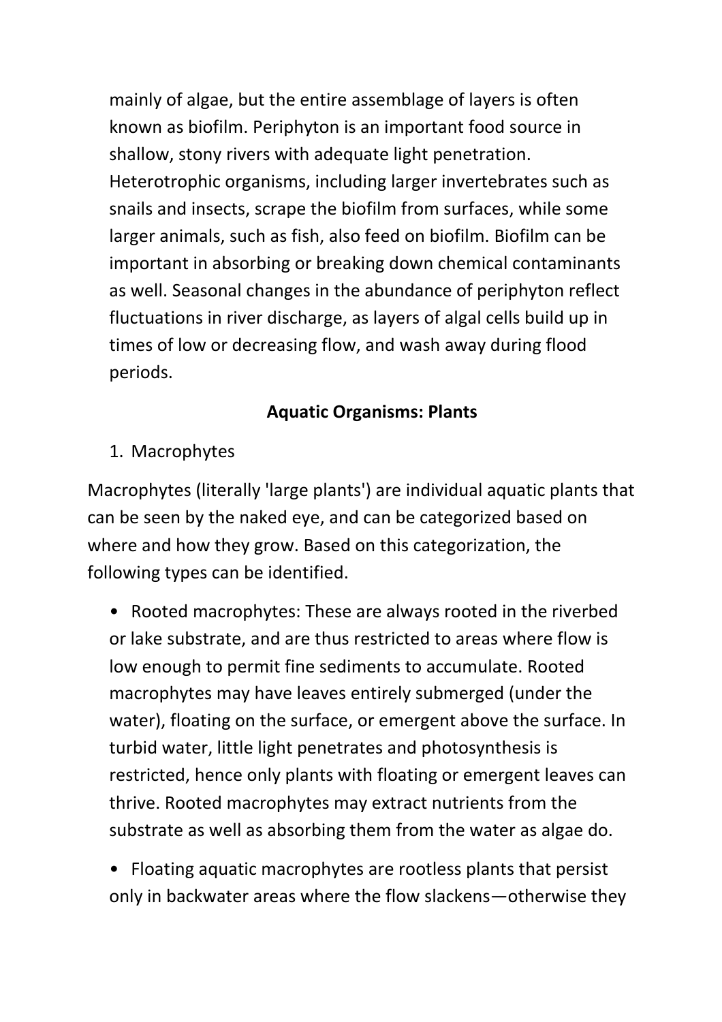mainly of algae, but the entire assemblage of layers is often known as biofilm. Periphyton is an important food source in shallow, stony rivers with adequate light penetration. Heterotrophic organisms, including larger invertebrates such as snails and insects, scrape the biofilm from surfaces, while some larger animals, such as fish, also feed on biofilm. Biofilm can be important in absorbing or breaking down chemical contaminants as well. Seasonal changes in the abundance of periphyton reflect fluctuations in river discharge, as layers of algal cells build up in times of low or decreasing flow, and wash away during flood periods.

# **Aquatic Organisms: Plants**

1. Macrophytes

Macrophytes (literally 'large plants') are individual aquatic plants that can be seen by the naked eye, and can be categorized based on where and how they grow. Based on this categorization, the following types can be identified.

• Rooted macrophytes: These are always rooted in the riverbed or lake substrate, and are thus restricted to areas where flow is low enough to permit fine sediments to accumulate. Rooted macrophytes may have leaves entirely submerged (under the water), floating on the surface, or emergent above the surface. In turbid water, little light penetrates and photosynthesis is restricted, hence only plants with floating or emergent leaves can thrive. Rooted macrophytes may extract nutrients from the substrate as well as absorbing them from the water as algae do.

• Floating aquatic macrophytes are rootless plants that persist only in backwater areas where the flow slackens—otherwise they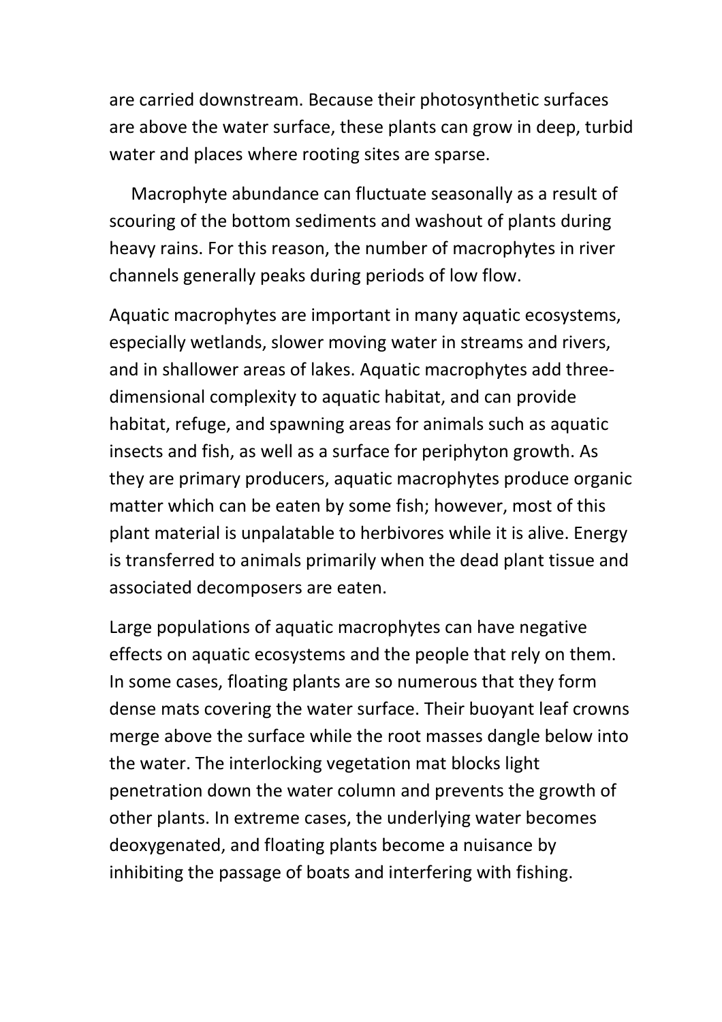are carried downstream. Because their photosynthetic surfaces are above the water surface, these plants can grow in deep, turbid water and places where rooting sites are sparse.

 Macrophyte abundance can fluctuate seasonally as a result of scouring of the bottom sediments and washout of plants during heavy rains. For this reason, the number of macrophytes in river channels generally peaks during periods of low flow.

Aquatic macrophytes are important in many aquatic ecosystems, especially wetlands, slower moving water in streams and rivers, and in shallower areas of lakes. Aquatic macrophytes add threedimensional complexity to aquatic habitat, and can provide habitat, refuge, and spawning areas for animals such as aquatic insects and fish, as well as a surface for periphyton growth. As they are primary producers, aquatic macrophytes produce organic matter which can be eaten by some fish; however, most of this plant material is unpalatable to herbivores while it is alive. Energy is transferred to animals primarily when the dead plant tissue and associated decomposers are eaten.

Large populations of aquatic macrophytes can have negative effects on aquatic ecosystems and the people that rely on them. In some cases, floating plants are so numerous that they form dense mats covering the water surface. Their buoyant leaf crowns merge above the surface while the root masses dangle below into the water. The interlocking vegetation mat blocks light penetration down the water column and prevents the growth of other plants. In extreme cases, the underlying water becomes deoxygenated, and floating plants become a nuisance by inhibiting the passage of boats and interfering with fishing.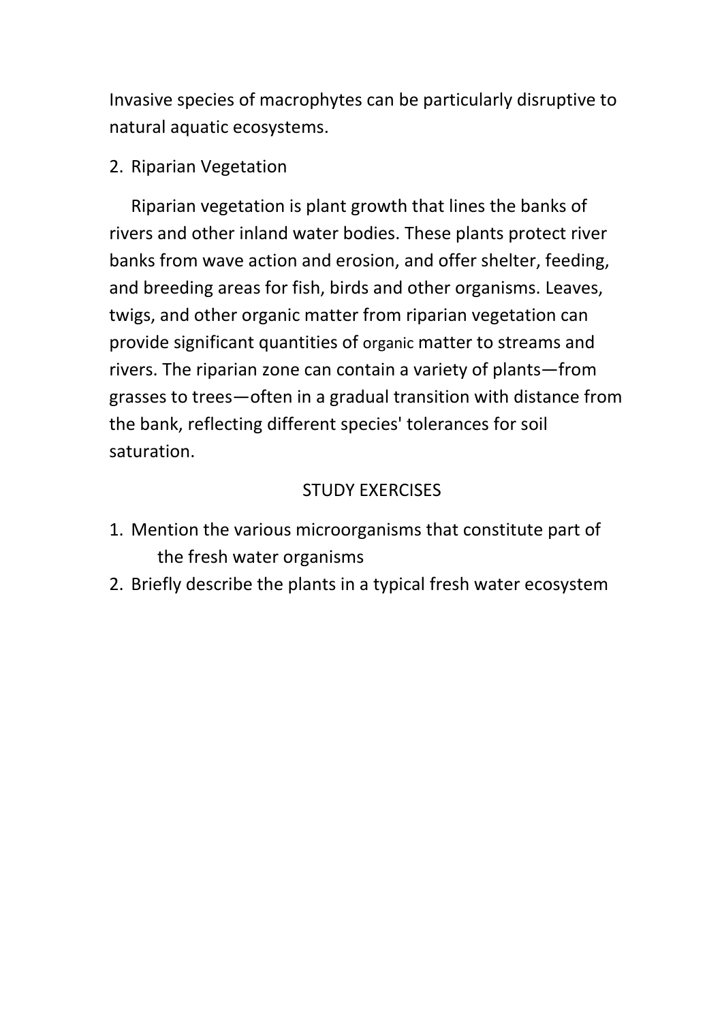Invasive species of macrophytes can be particularly disruptive to natural aquatic ecosystems.

2. Riparian Vegetation

 Riparian vegetation is plant growth that lines the banks of rivers and other inland water bodies. These plants protect river banks from wave action and erosion, and offer shelter, feeding, and breeding areas for fish, birds and other organisms. Leaves, twigs, and other organic matter from riparian vegetation can provide significant quantities of organic matter to streams and rivers. The riparian zone can contain a variety of plants—from grasses to trees—often in a gradual transition with distance from the bank, reflecting different species' tolerances for soil saturation.

## STUDY EXERCISES

- 1. Mention the various microorganisms that constitute part of the fresh water organisms
- 2. Briefly describe the plants in a typical fresh water ecosystem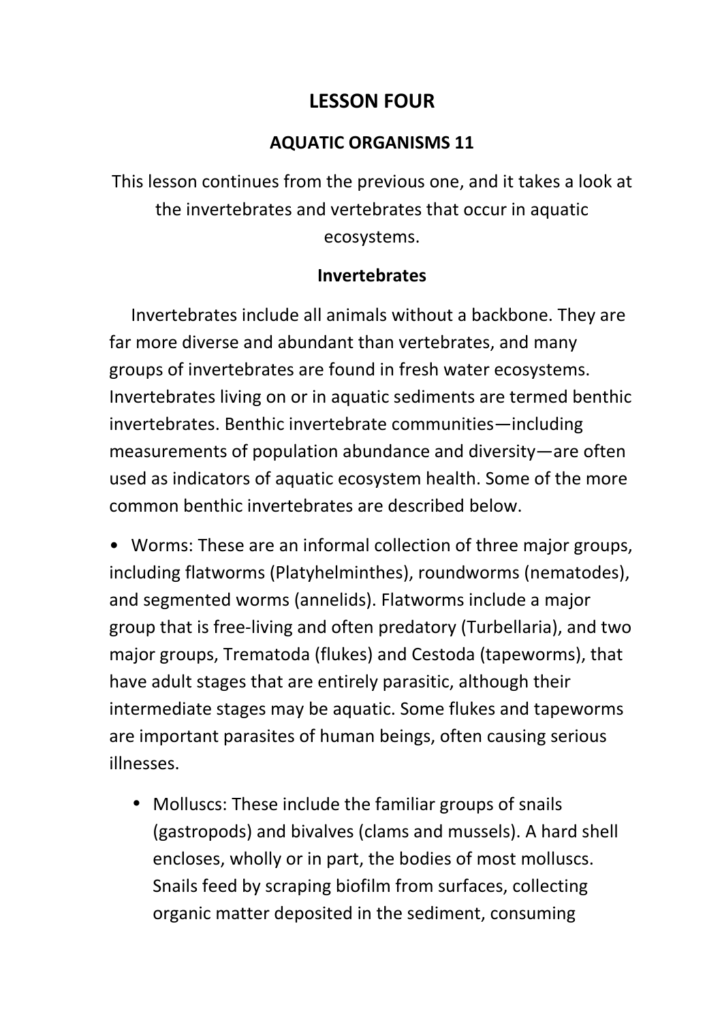# **LESSON FOUR**

## **AQUATIC ORGANISMS 11**

This lesson continues from the previous one, and it takes a look at the invertebrates and vertebrates that occur in aquatic ecosystems.

## **Invertebrates**

 Invertebrates include all animals without a backbone. They are far more diverse and abundant than vertebrates, and many groups of invertebrates are found in fresh water ecosystems. Invertebrates living on or in aquatic sediments are termed benthic invertebrates. Benthic invertebrate communities—including measurements of population abundance and diversity—are often used as indicators of aquatic ecosystem health. Some of the more common benthic invertebrates are described below.

• Worms: These are an informal collection of three major groups, including flatworms (Platyhelminthes), roundworms (nematodes), and segmented worms (annelids). Flatworms include a major group that is free-living and often predatory (Turbellaria), and two major groups, Trematoda (flukes) and Cestoda (tapeworms), that have adult stages that are entirely parasitic, although their intermediate stages may be aquatic. Some flukes and tapeworms are important parasites of human beings, often causing serious illnesses.

• Molluscs: These include the familiar groups of snails (gastropods) and bivalves (clams and mussels). A hard shell encloses, wholly or in part, the bodies of most molluscs. Snails feed by scraping biofilm from surfaces, collecting organic matter deposited in the sediment, consuming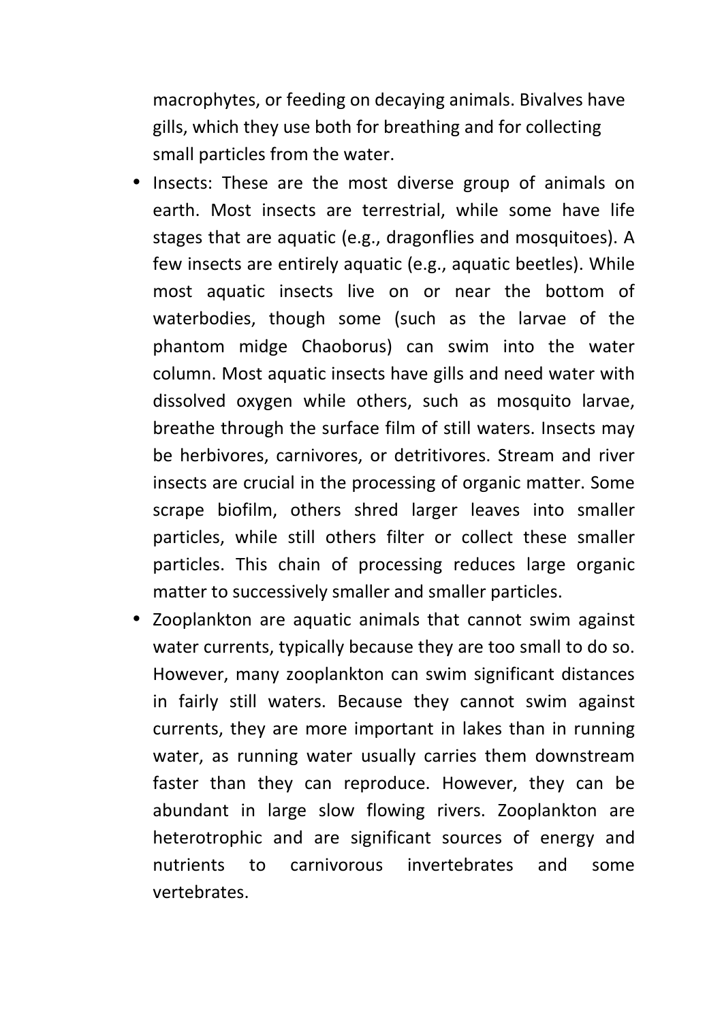macrophytes, or feeding on decaying animals. Bivalves have gills, which they use both for breathing and for collecting small particles from the water.

- Insects: These are the most diverse group of animals on earth. Most insects are terrestrial, while some have life stages that are aquatic (e.g., dragonflies and mosquitoes). A few insects are entirely aquatic (e.g., aquatic beetles). While most aquatic insects live on or near the bottom of waterbodies, though some (such as the larvae of the phantom midge Chaoborus) can swim into the water column. Most aquatic insects have gills and need water with dissolved oxygen while others, such as mosquito larvae, breathe through the surface film of still waters. Insects may be herbivores, carnivores, or detritivores. Stream and river insects are crucial in the processing of organic matter. Some scrape biofilm, others shred larger leaves into smaller particles, while still others filter or collect these smaller particles. This chain of processing reduces large organic matter to successively smaller and smaller particles.
- Zooplankton are aquatic animals that cannot swim against water currents, typically because they are too small to do so. However, many zooplankton can swim significant distances in fairly still waters. Because they cannot swim against currents, they are more important in lakes than in running water, as running water usually carries them downstream faster than they can reproduce. However, they can be abundant in large slow flowing rivers. Zooplankton are heterotrophic and are significant sources of energy and nutrients to carnivorous invertebrates and some vertebrates.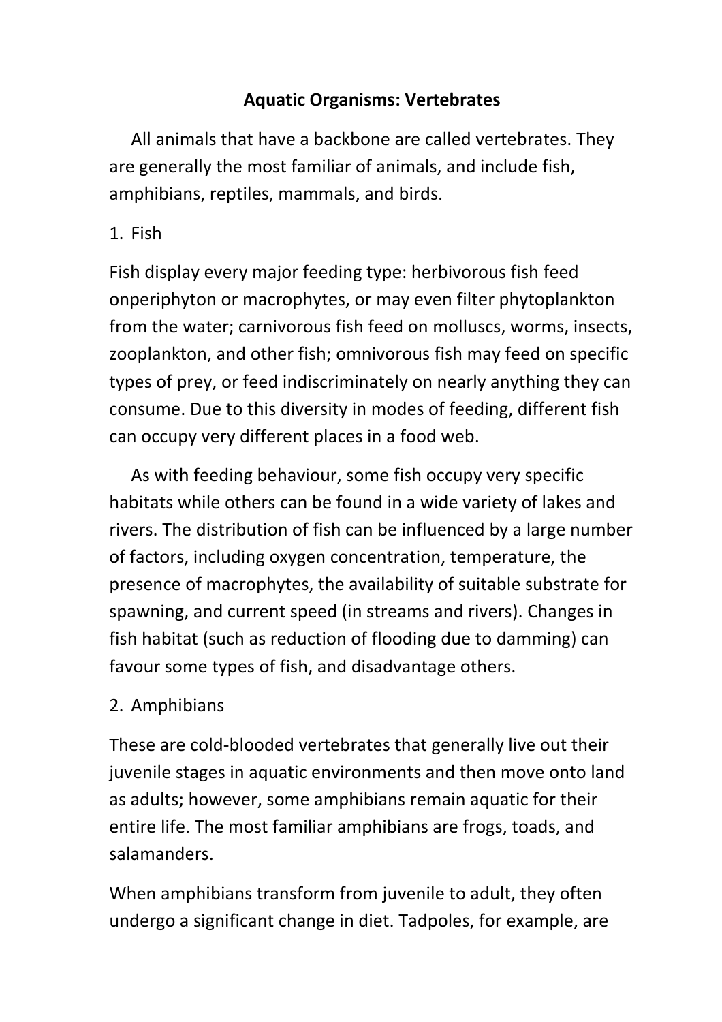## **Aquatic Organisms: Vertebrates**

 All animals that have a backbone are called vertebrates. They are generally the most familiar of animals, and include fish, amphibians, reptiles, mammals, and birds.

## 1. Fish

Fish display every major feeding type: herbivorous fish feed onperiphyton or macrophytes, or may even filter phytoplankton from the water; carnivorous fish feed on molluscs, worms, insects, zooplankton, and other fish; omnivorous fish may feed on specific types of prey, or feed indiscriminately on nearly anything they can consume. Due to this diversity in modes of feeding, different fish can occupy very different places in a food web.

 As with feeding behaviour, some fish occupy very specific habitats while others can be found in a wide variety of lakes and rivers. The distribution of fish can be influenced by a large number of factors, including oxygen concentration, temperature, the presence of macrophytes, the availability of suitable substrate for spawning, and current speed (in streams and rivers). Changes in fish habitat (such as reduction of flooding due to damming) can favour some types of fish, and disadvantage others.

## 2. Amphibians

These are cold-blooded vertebrates that generally live out their juvenile stages in aquatic environments and then move onto land as adults; however, some amphibians remain aquatic for their entire life. The most familiar amphibians are frogs, toads, and salamanders.

When amphibians transform from juvenile to adult, they often undergo a significant change in diet. Tadpoles, for example, are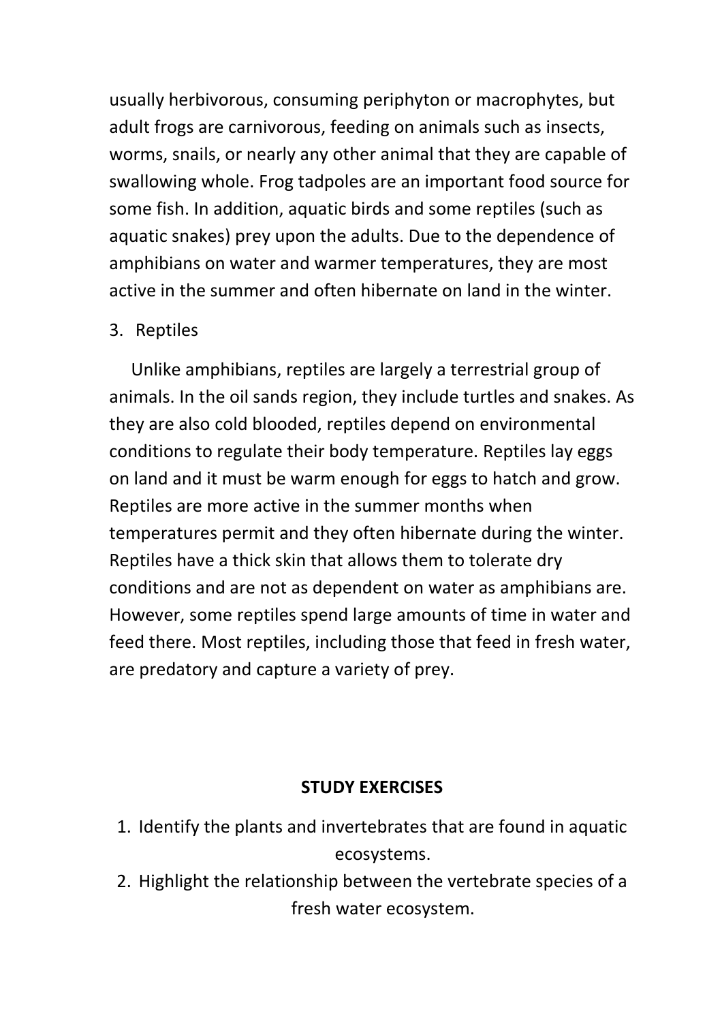usually herbivorous, consuming periphyton or macrophytes, but adult frogs are carnivorous, feeding on animals such as insects, worms, snails, or nearly any other animal that they are capable of swallowing whole. Frog tadpoles are an important food source for some fish. In addition, aquatic birds and some reptiles (such as aquatic snakes) prey upon the adults. Due to the dependence of amphibians on water and warmer temperatures, they are most active in the summer and often hibernate on land in the winter.

### 3. Reptiles

 Unlike amphibians, reptiles are largely a terrestrial group of animals. In the oil sands region, they include turtles and snakes. As they are also cold blooded, reptiles depend on environmental conditions to regulate their body temperature. Reptiles lay eggs on land and it must be warm enough for eggs to hatch and grow. Reptiles are more active in the summer months when temperatures permit and they often hibernate during the winter. Reptiles have a thick skin that allows them to tolerate dry conditions and are not as dependent on water as amphibians are. However, some reptiles spend large amounts of time in water and feed there. Most reptiles, including those that feed in fresh water, are predatory and capture a variety of prey.

### **STUDY EXERCISES**

- 1. Identify the plants and invertebrates that are found in aquatic ecosystems.
- 2. Highlight the relationship between the vertebrate species of a fresh water ecosystem.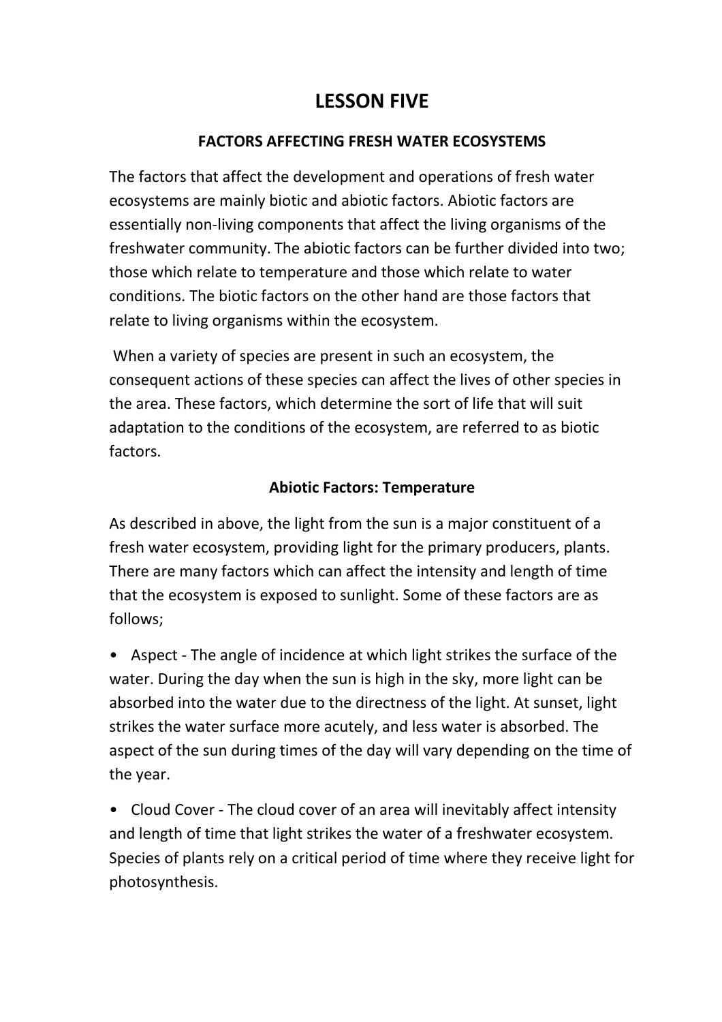# **LESSON FIVE**

#### **FACTORS AFFECTING FRESH WATER ECOSYSTEMS**

The factors that affect the development and operations of fresh water ecosystems are mainly biotic and abiotic factors. Abiotic factors are essentially non-living components that affect the living organisms of the freshwater community. The abiotic factors can be further divided into two; those which relate to temperature and those which relate to water conditions. The biotic factors on the other hand are those factors that relate to living organisms within the ecosystem.

 When a variety of species are present in such an ecosystem, the consequent actions of these species can affect the lives of other species in the area. These factors, which determine the sort of life that will suit adaptation to the conditions of the ecosystem, are referred to as biotic factors.

### **Abiotic Factors: Temperature**

As described in above, the light from the sun is a major constituent of a fresh water ecosystem, providing light for the primary producers, plants. There are many factors which can affect the intensity and length of time that the ecosystem is exposed to sunlight. Some of these factors are as follows;

• Aspect - The angle of incidence at which light strikes the surface of the water. During the day when the sun is high in the sky, more light can be absorbed into the water due to the directness of the light. At sunset, light strikes the water surface more acutely, and less water is absorbed. The aspect of the sun during times of the day will vary depending on the time of the year.

• Cloud Cover - The cloud cover of an area will inevitably affect intensity and length of time that light strikes the water of a freshwater ecosystem. Species of plants rely on a critical period of time where they receive light for photosynthesis.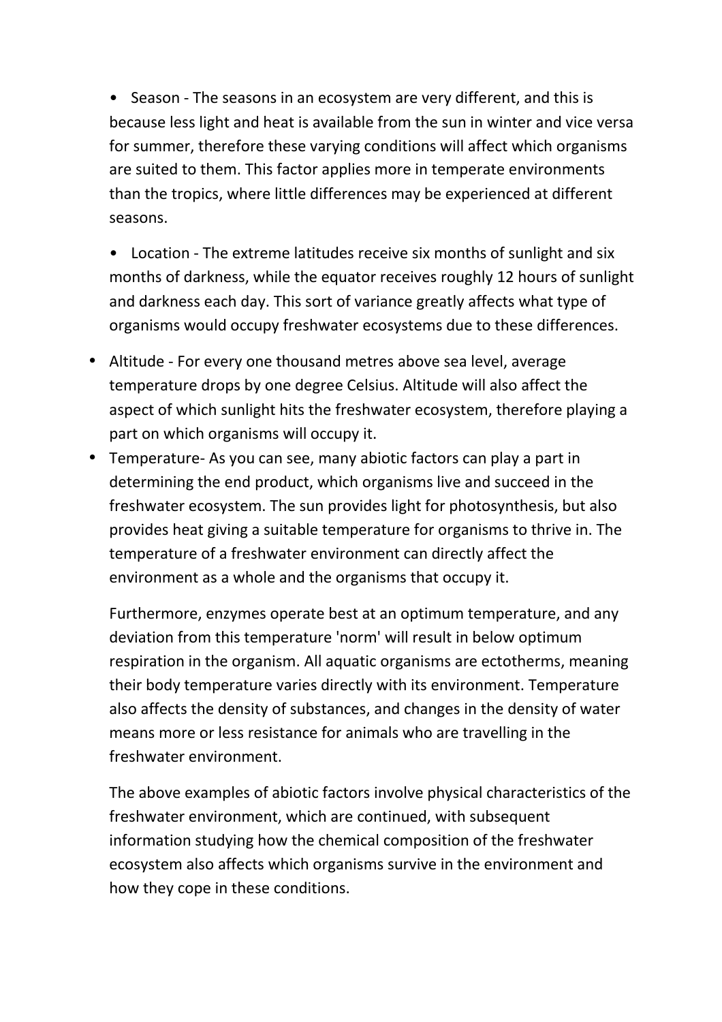• Season - The seasons in an ecosystem are very different, and this is because less light and heat is available from the sun in winter and vice versa for summer, therefore these varying conditions will affect which organisms are suited to them. This factor applies more in temperate environments than the tropics, where little differences may be experienced at different seasons.

- Location The extreme latitudes receive six months of sunlight and six months of darkness, while the equator receives roughly 12 hours of sunlight and darkness each day. This sort of variance greatly affects what type of organisms would occupy freshwater ecosystems due to these differences.
- Altitude For every one thousand metres above sea level, average temperature drops by one degree Celsius. Altitude will also affect the aspect of which sunlight hits the freshwater ecosystem, therefore playing a part on which organisms will occupy it.
- Temperature- As you can see, many abiotic factors can play a part in determining the end product, which organisms live and succeed in the freshwater ecosystem. The sun provides light for photosynthesis, but also provides heat giving a suitable temperature for organisms to thrive in. The temperature of a freshwater environment can directly affect the environment as a whole and the organisms that occupy it.

Furthermore, enzymes operate best at an optimum temperature, and any deviation from this temperature 'norm' will result in below optimum respiration in the organism. All aquatic organisms are ectotherms, meaning their body temperature varies directly with its environment. Temperature also affects the density of substances, and changes in the density of water means more or less resistance for animals who are travelling in the freshwater environment.

The above examples of abiotic factors involve physical characteristics of the freshwater environment, which are continued, with subsequent information studying how the chemical composition of the freshwater ecosystem also affects which organisms survive in the environment and how they cope in these conditions.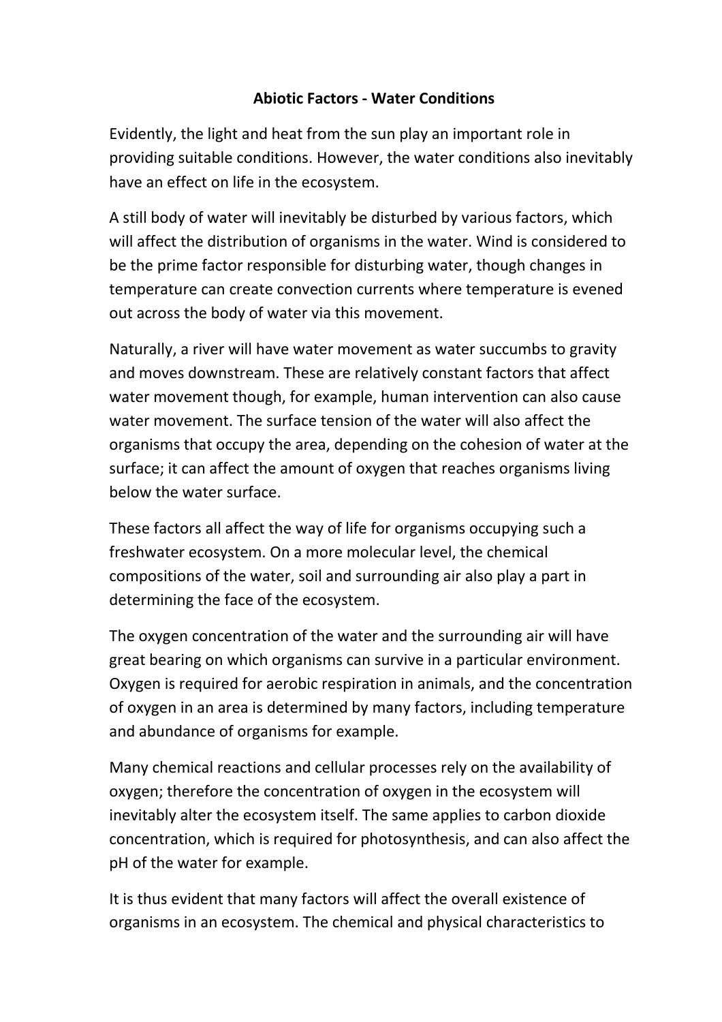### **Abiotic Factors - Water Conditions**

Evidently, the light and heat from the sun play an important role in providing suitable conditions. However, the water conditions also inevitably have an effect on life in the ecosystem.

A still body of water will inevitably be disturbed by various factors, which will affect the distribution of organisms in the water. Wind is considered to be the prime factor responsible for disturbing water, though changes in temperature can create convection currents where temperature is evened out across the body of water via this movement.

Naturally, a river will have water movement as water succumbs to gravity and moves downstream. These are relatively constant factors that affect water movement though, for example, human intervention can also cause water movement. The surface tension of the water will also affect the organisms that occupy the area, depending on the cohesion of water at the surface; it can affect the amount of oxygen that reaches organisms living below the water surface.

These factors all affect the way of life for organisms occupying such a freshwater ecosystem. On a more molecular level, the chemical compositions of the water, soil and surrounding air also play a part in determining the face of the ecosystem.

The oxygen concentration of the water and the surrounding air will have great bearing on which organisms can survive in a particular environment. Oxygen is required for aerobic respiration in animals, and the concentration of oxygen in an area is determined by many factors, including temperature and abundance of organisms for example.

Many chemical reactions and cellular processes rely on the availability of oxygen; therefore the concentration of oxygen in the ecosystem will inevitably alter the ecosystem itself. The same applies to carbon dioxide concentration, which is required for photosynthesis, and can also affect the pH of the water for example.

It is thus evident that many factors will affect the overall existence of organisms in an ecosystem. The chemical and physical characteristics to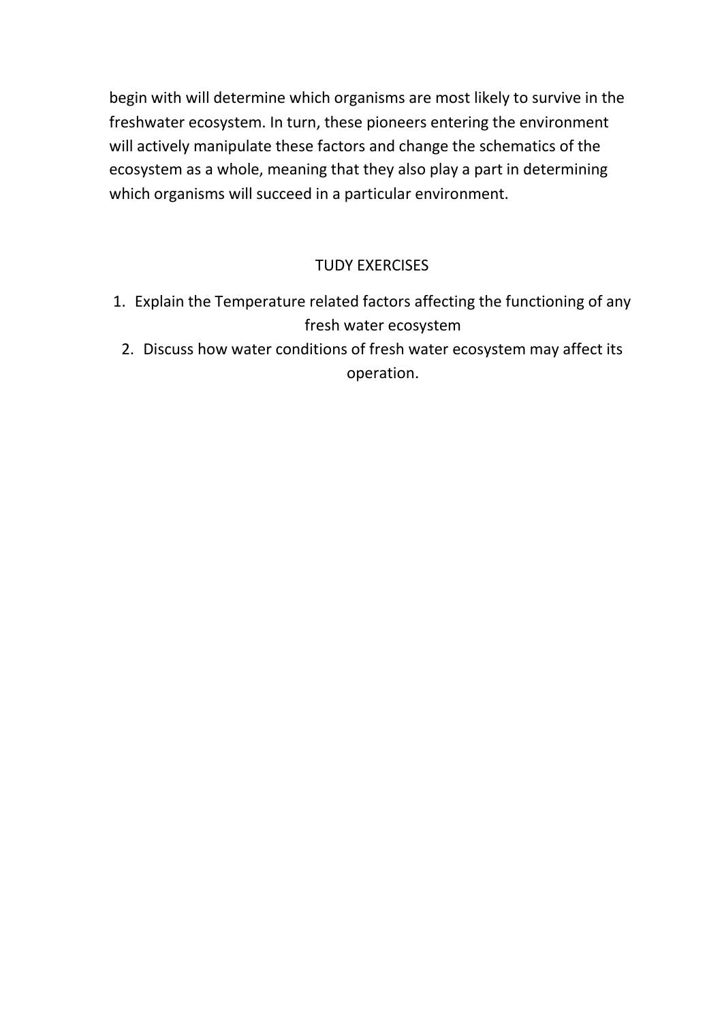begin with will determine which organisms are most likely to survive in the freshwater ecosystem. In turn, these pioneers entering the environment will actively manipulate these factors and change the schematics of the ecosystem as a whole, meaning that they also play a part in determining which organisms will succeed in a particular environment.

### TUDY EXERCISES

- 1. Explain the Temperature related factors affecting the functioning of any fresh water ecosystem
	- 2. Discuss how water conditions of fresh water ecosystem may affect its operation.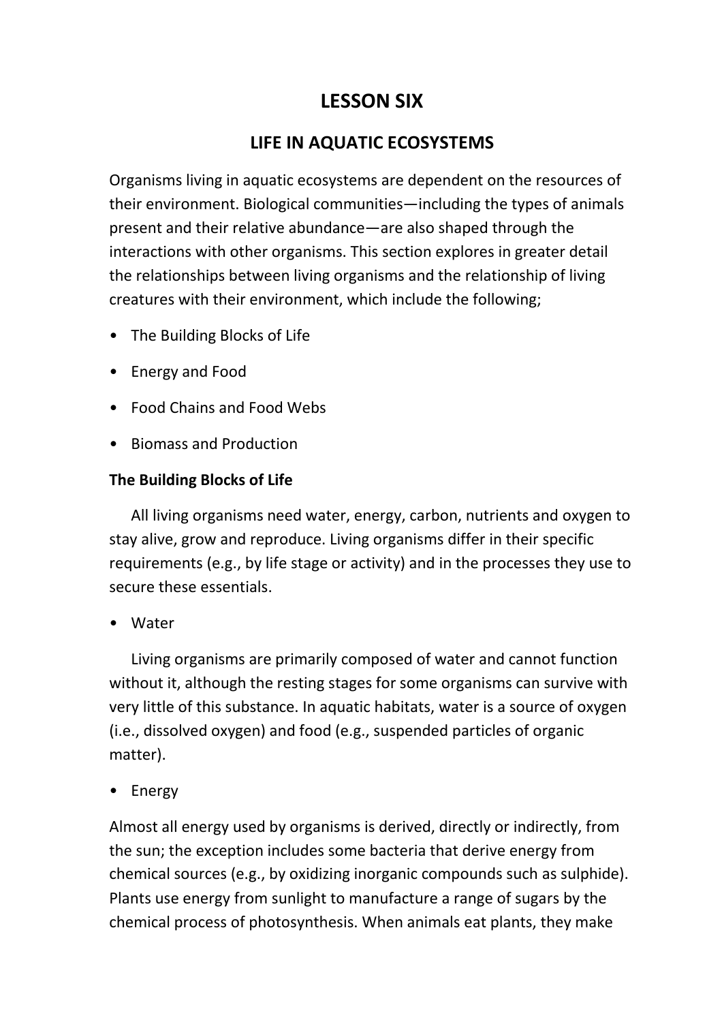# **LESSON SIX**

## **LIFE IN AQUATIC ECOSYSTEMS**

Organisms living in aquatic ecosystems are dependent on the resources of their environment. Biological communities—including the types of animals present and their relative abundance—are also shaped through the interactions with other organisms. This section explores in greater detail the relationships between living organisms and the relationship of living creatures with their environment, which include the following;

- The Building Blocks of Life
- Energy and Food
- Food Chains and Food Webs
- Biomass and Production

#### **The Building Blocks of Life**

 All living organisms need water, energy, carbon, nutrients and oxygen to stay alive, grow and reproduce. Living organisms differ in their specific requirements (e.g., by life stage or activity) and in the processes they use to secure these essentials.

• Water

 Living organisms are primarily composed of water and cannot function without it, although the resting stages for some organisms can survive with very little of this substance. In aquatic habitats, water is a source of oxygen (i.e., dissolved oxygen) and food (e.g., suspended particles of organic matter).

• Energy

Almost all energy used by organisms is derived, directly or indirectly, from the sun; the exception includes some bacteria that derive energy from chemical sources (e.g., by oxidizing inorganic compounds such as sulphide). Plants use energy from sunlight to manufacture a range of sugars by the chemical process of photosynthesis. When animals eat plants, they make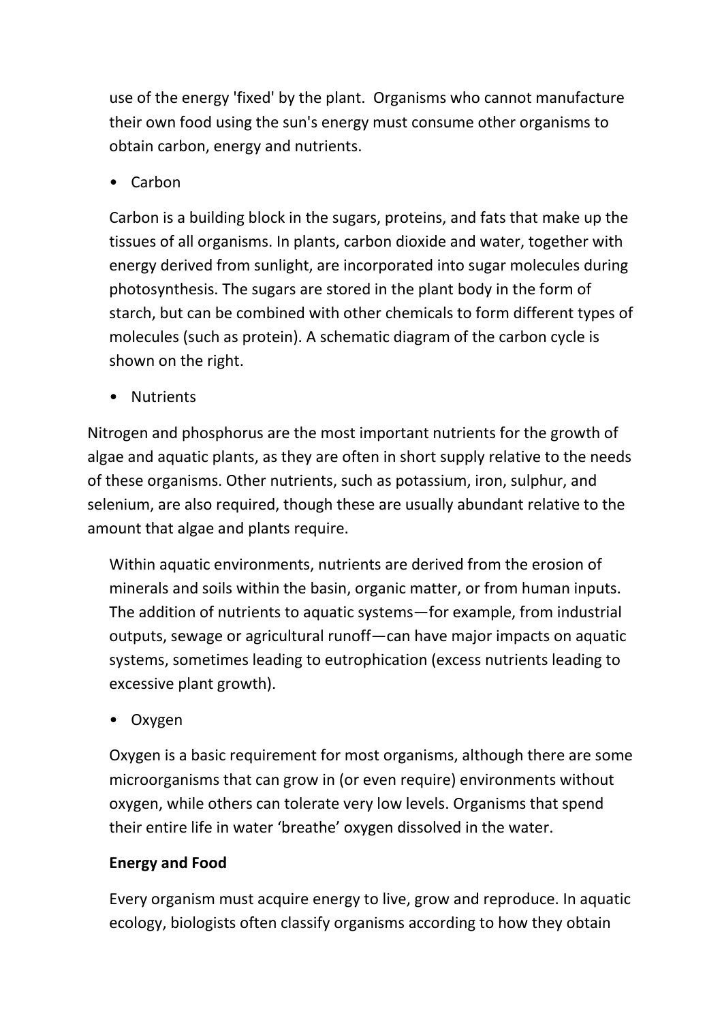use of the energy 'fixed' by the plant. Organisms who cannot manufacture their own food using the sun's energy must consume other organisms to obtain carbon, energy and nutrients.

• Carbon

Carbon is a building block in the sugars, proteins, and fats that make up the tissues of all organisms. In plants, carbon dioxide and water, together with energy derived from sunlight, are incorporated into sugar molecules during photosynthesis. The sugars are stored in the plant body in the form of starch, but can be combined with other chemicals to form different types of molecules (such as protein). A schematic diagram of the carbon cycle is shown on the right.

• Nutrients

Nitrogen and phosphorus are the most important nutrients for the growth of algae and aquatic plants, as they are often in short supply relative to the needs of these organisms. Other nutrients, such as potassium, iron, sulphur, and selenium, are also required, though these are usually abundant relative to the amount that algae and plants require.

Within aquatic environments, nutrients are derived from the erosion of minerals and soils within the basin, organic matter, or from human inputs. The addition of nutrients to aquatic systems—for example, from industrial outputs, sewage or agricultural runoff—can have major impacts on aquatic systems, sometimes leading to eutrophication (excess nutrients leading to excessive plant growth).

• Oxygen

Oxygen is a basic requirement for most organisms, although there are some microorganisms that can grow in (or even require) environments without oxygen, while others can tolerate very low levels. Organisms that spend their entire life in water 'breathe' oxygen dissolved in the water.

### **Energy and Food**

Every organism must acquire energy to live, grow and reproduce. In aquatic ecology, biologists often classify organisms according to how they obtain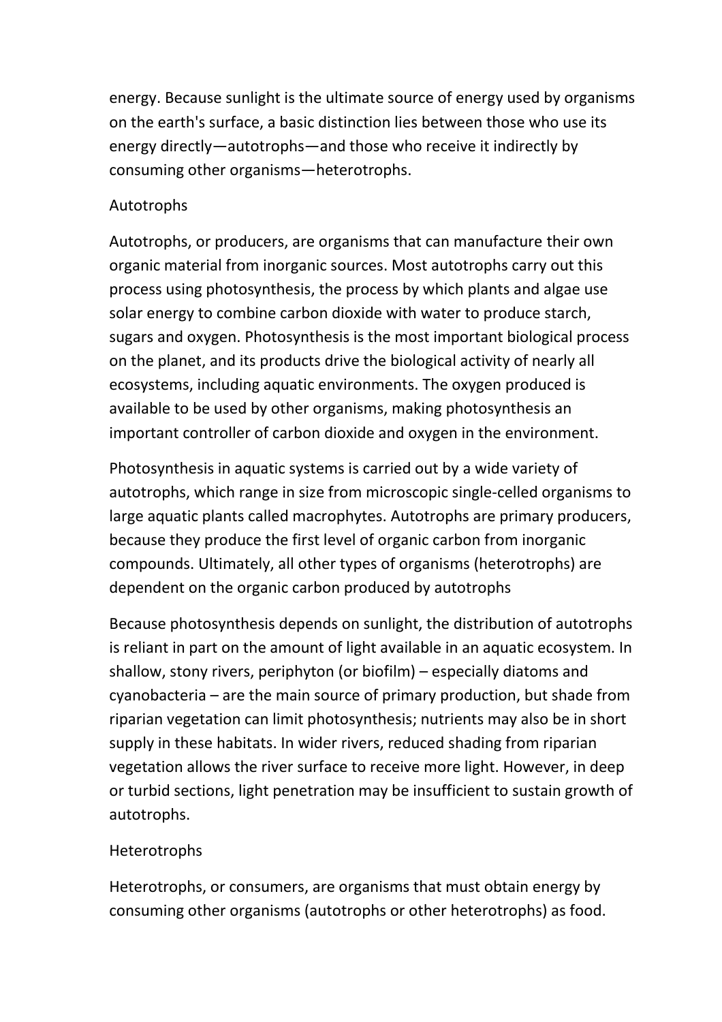energy. Because sunlight is the ultimate source of energy used by organisms on the earth's surface, a basic distinction lies between those who use its energy directly—autotrophs—and those who receive it indirectly by consuming other organisms—heterotrophs.

### Autotrophs

Autotrophs, or producers, are organisms that can manufacture their own organic material from inorganic sources. Most autotrophs carry out this process using photosynthesis, the process by which plants and algae use solar energy to combine carbon dioxide with water to produce starch, sugars and oxygen. Photosynthesis is the most important biological process on the planet, and its products drive the biological activity of nearly all ecosystems, including aquatic environments. The oxygen produced is available to be used by other organisms, making photosynthesis an important controller of carbon dioxide and oxygen in the environment.

Photosynthesis in aquatic systems is carried out by a wide variety of autotrophs, which range in size from microscopic single-celled organisms to large aquatic plants called macrophytes. Autotrophs are primary producers, because they produce the first level of organic carbon from inorganic compounds. Ultimately, all other types of organisms (heterotrophs) are dependent on the organic carbon produced by autotrophs

Because photosynthesis depends on sunlight, the distribution of autotrophs is reliant in part on the amount of light available in an aquatic ecosystem. In shallow, stony rivers, periphyton (or biofilm) – especially diatoms and cyanobacteria – are the main source of primary production, but shade from riparian vegetation can limit photosynthesis; nutrients may also be in short supply in these habitats. In wider rivers, reduced shading from riparian vegetation allows the river surface to receive more light. However, in deep or turbid sections, light penetration may be insufficient to sustain growth of autotrophs.

### Heterotrophs

Heterotrophs, or consumers, are organisms that must obtain energy by consuming other organisms (autotrophs or other heterotrophs) as food.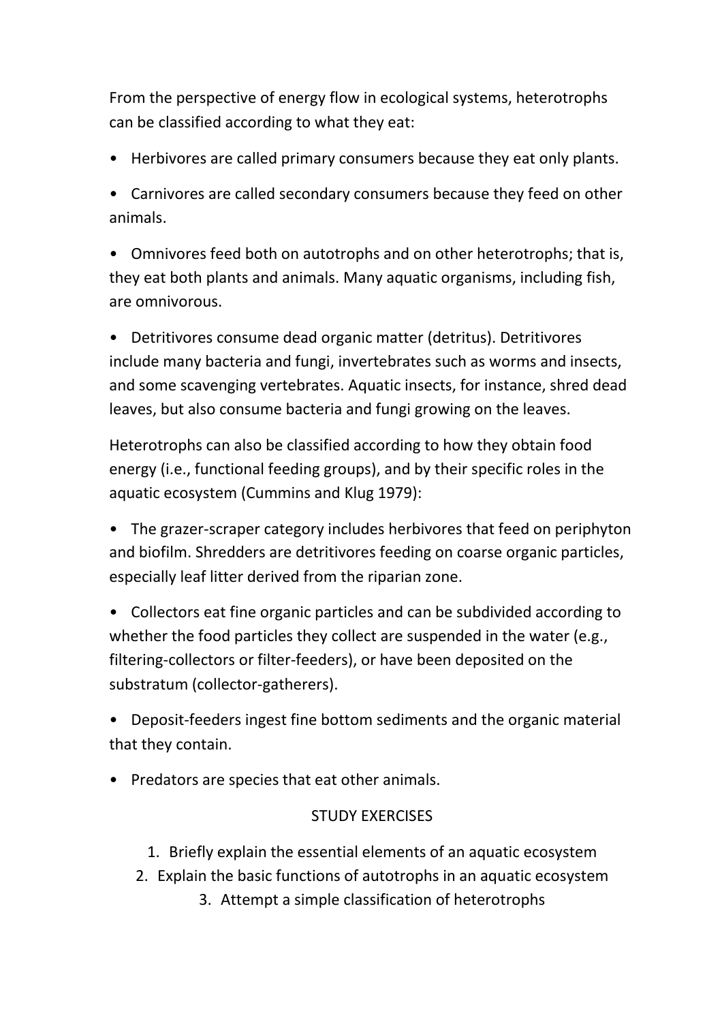From the perspective of energy flow in ecological systems, heterotrophs can be classified according to what they eat:

• Herbivores are called primary consumers because they eat only plants.

• Carnivores are called secondary consumers because they feed on other animals.

• Omnivores feed both on autotrophs and on other heterotrophs; that is, they eat both plants and animals. Many aquatic organisms, including fish, are omnivorous.

• Detritivores consume dead organic matter (detritus). Detritivores include many bacteria and fungi, invertebrates such as worms and insects, and some scavenging vertebrates. Aquatic insects, for instance, shred dead leaves, but also consume bacteria and fungi growing on the leaves.

Heterotrophs can also be classified according to how they obtain food energy (i.e., functional feeding groups), and by their specific roles in the aquatic ecosystem (Cummins and Klug 1979):

• The grazer-scraper category includes herbivores that feed on periphyton and biofilm. Shredders are detritivores feeding on coarse organic particles, especially leaf litter derived from the riparian zone.

• Collectors eat fine organic particles and can be subdivided according to whether the food particles they collect are suspended in the water (e.g., filtering-collectors or filter-feeders), or have been deposited on the substratum (collector-gatherers).

• Deposit-feeders ingest fine bottom sediments and the organic material that they contain.

• Predators are species that eat other animals.

### STUDY EXERCISES

- 1. Briefly explain the essential elements of an aquatic ecosystem
- 2. Explain the basic functions of autotrophs in an aquatic ecosystem
	- 3. Attempt a simple classification of heterotrophs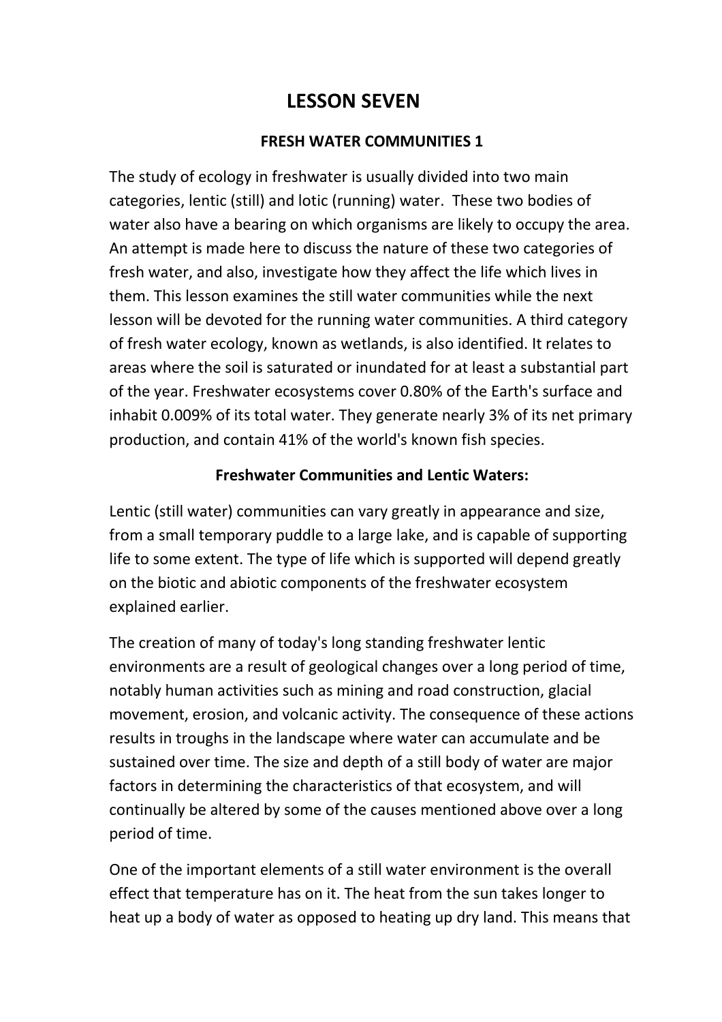# **LESSON SEVEN**

#### **FRESH WATER COMMUNITIES 1**

The study of ecology in freshwater is usually divided into two main categories, lentic (still) and lotic (running) water. These two bodies of water also have a bearing on which organisms are likely to occupy the area. An attempt is made here to discuss the nature of these two categories of fresh water, and also, investigate how they affect the life which lives in them. This lesson examines the still water communities while the next lesson will be devoted for the running water communities. A third category of fresh water ecology, known as wetlands, is also identified. It relates to areas where the soil is saturated or inundated for at least a substantial part of the year. Freshwater ecosystems cover 0.80% of the Earth's surface and inhabit 0.009% of its total water. They generate nearly 3% of its net primary production, and contain 41% of the world's known fish species.

#### **Freshwater Communities and Lentic Waters:**

Lentic (still water) communities can vary greatly in appearance and size, from a small temporary puddle to a large lake, and is capable of supporting life to some extent. The type of life which is supported will depend greatly on the biotic and abiotic components of the freshwater ecosystem explained earlier.

The creation of many of today's long standing freshwater lentic environments are a result of geological changes over a long period of time, notably human activities such as mining and road construction, glacial movement, erosion, and volcanic activity. The consequence of these actions results in troughs in the landscape where water can accumulate and be sustained over time. The size and depth of a still body of water are major factors in determining the characteristics of that ecosystem, and will continually be altered by some of the causes mentioned above over a long period of time.

One of the important elements of a still water environment is the overall effect that temperature has on it. The heat from the sun takes longer to heat up a body of water as opposed to heating up dry land. This means that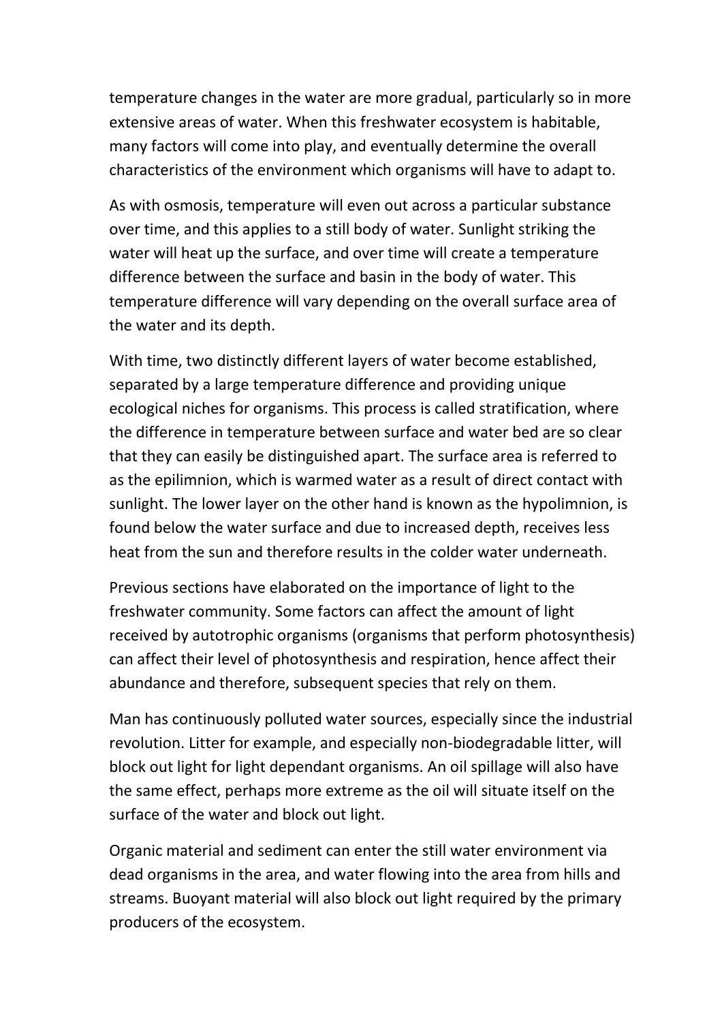temperature changes in the water are more gradual, particularly so in more extensive areas of water. When this freshwater ecosystem is habitable, many factors will come into play, and eventually determine the overall characteristics of the environment which organisms will have to adapt to.

As with osmosis, temperature will even out across a particular substance over time, and this applies to a still body of water. Sunlight striking the water will heat up the surface, and over time will create a temperature difference between the surface and basin in the body of water. This temperature difference will vary depending on the overall surface area of the water and its depth.

With time, two distinctly different layers of water become established, separated by a large temperature difference and providing unique ecological niches for organisms. This process is called stratification, where the difference in temperature between surface and water bed are so clear that they can easily be distinguished apart. The surface area is referred to as the epilimnion, which is warmed water as a result of direct contact with sunlight. The lower layer on the other hand is known as the hypolimnion, is found below the water surface and due to increased depth, receives less heat from the sun and therefore results in the colder water underneath.

Previous sections have elaborated on the importance of light to the freshwater community. Some factors can affect the amount of light received by autotrophic organisms (organisms that perform photosynthesis) can affect their level of photosynthesis and respiration, hence affect their abundance and therefore, subsequent species that rely on them.

Man has continuously polluted water sources, especially since the industrial revolution. Litter for example, and especially non-biodegradable litter, will block out light for light dependant organisms. An oil spillage will also have the same effect, perhaps more extreme as the oil will situate itself on the surface of the water and block out light.

Organic material and sediment can enter the still water environment via dead organisms in the area, and water flowing into the area from hills and streams. Buoyant material will also block out light required by the primary producers of the ecosystem.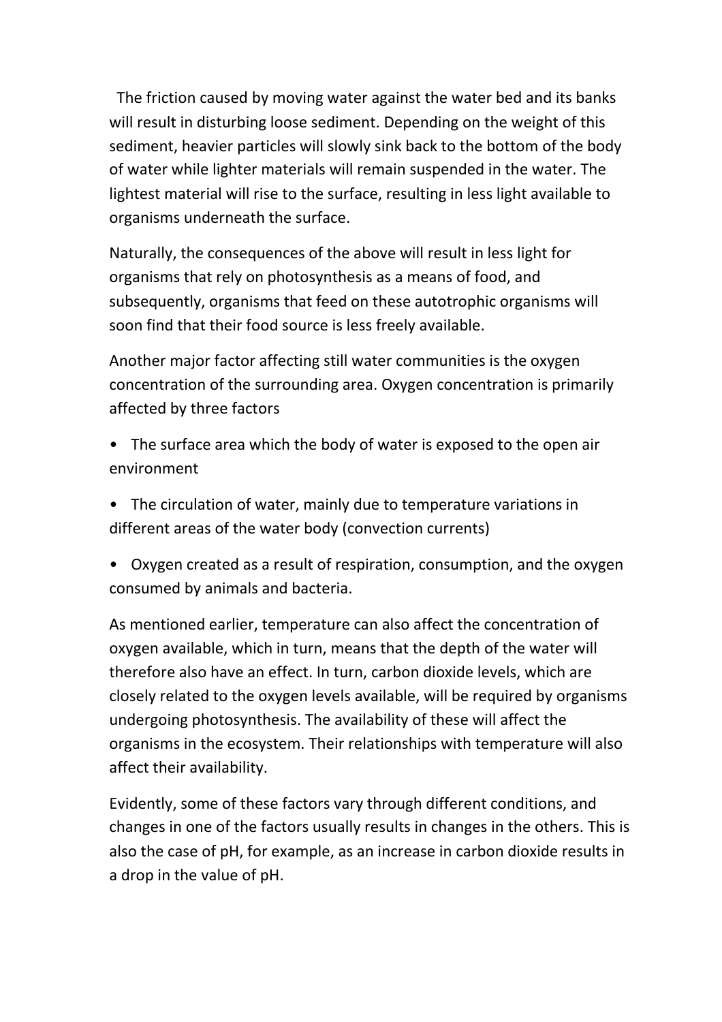The friction caused by moving water against the water bed and its banks will result in disturbing loose sediment. Depending on the weight of this sediment, heavier particles will slowly sink back to the bottom of the body of water while lighter materials will remain suspended in the water. The lightest material will rise to the surface, resulting in less light available to organisms underneath the surface.

Naturally, the consequences of the above will result in less light for organisms that rely on photosynthesis as a means of food, and subsequently, organisms that feed on these autotrophic organisms will soon find that their food source is less freely available.

Another major factor affecting still water communities is the oxygen concentration of the surrounding area. Oxygen concentration is primarily affected by three factors

- The surface area which the body of water is exposed to the open air environment
- The circulation of water, mainly due to temperature variations in different areas of the water body (convection currents)
- Oxygen created as a result of respiration, consumption, and the oxygen consumed by animals and bacteria.

As mentioned earlier, temperature can also affect the concentration of oxygen available, which in turn, means that the depth of the water will therefore also have an effect. In turn, carbon dioxide levels, which are closely related to the oxygen levels available, will be required by organisms undergoing photosynthesis. The availability of these will affect the organisms in the ecosystem. Their relationships with temperature will also affect their availability.

Evidently, some of these factors vary through different conditions, and changes in one of the factors usually results in changes in the others. This is also the case of pH, for example, as an increase in carbon dioxide results in a drop in the value of pH.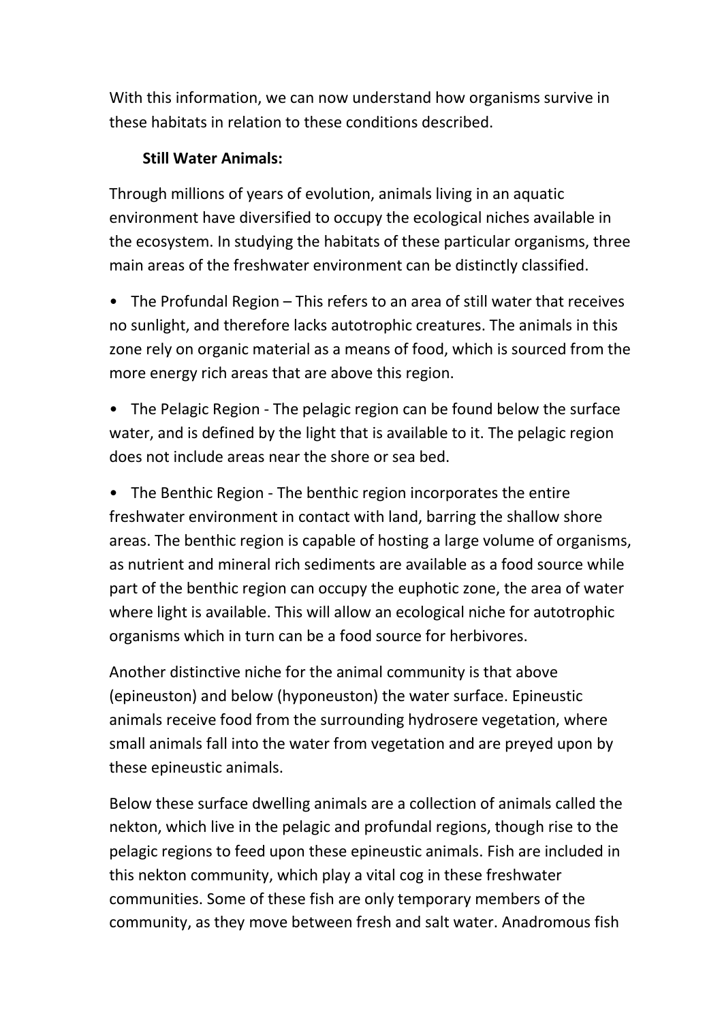With this information, we can now understand how organisms survive in these habitats in relation to these conditions described.

### **Still Water Animals:**

Through millions of years of evolution, animals living in an aquatic environment have diversified to occupy the ecological niches available in the ecosystem. In studying the habitats of these particular organisms, three main areas of the freshwater environment can be distinctly classified.

• The Profundal Region – This refers to an area of still water that receives no sunlight, and therefore lacks autotrophic creatures. The animals in this zone rely on organic material as a means of food, which is sourced from the more energy rich areas that are above this region.

• The Pelagic Region - The pelagic region can be found below the surface water, and is defined by the light that is available to it. The pelagic region does not include areas near the shore or sea bed.

• The Benthic Region - The benthic region incorporates the entire freshwater environment in contact with land, barring the shallow shore areas. The benthic region is capable of hosting a large volume of organisms, as nutrient and mineral rich sediments are available as a food source while part of the benthic region can occupy the euphotic zone, the area of water where light is available. This will allow an ecological niche for autotrophic organisms which in turn can be a food source for herbivores.

Another distinctive niche for the animal community is that above (epineuston) and below (hyponeuston) the water surface. Epineustic animals receive food from the surrounding hydrosere vegetation, where small animals fall into the water from vegetation and are preyed upon by these epineustic animals.

Below these surface dwelling animals are a collection of animals called the nekton, which live in the pelagic and profundal regions, though rise to the pelagic regions to feed upon these epineustic animals. Fish are included in this nekton community, which play a vital cog in these freshwater communities. Some of these fish are only temporary members of the community, as they move between fresh and salt water. Anadromous fish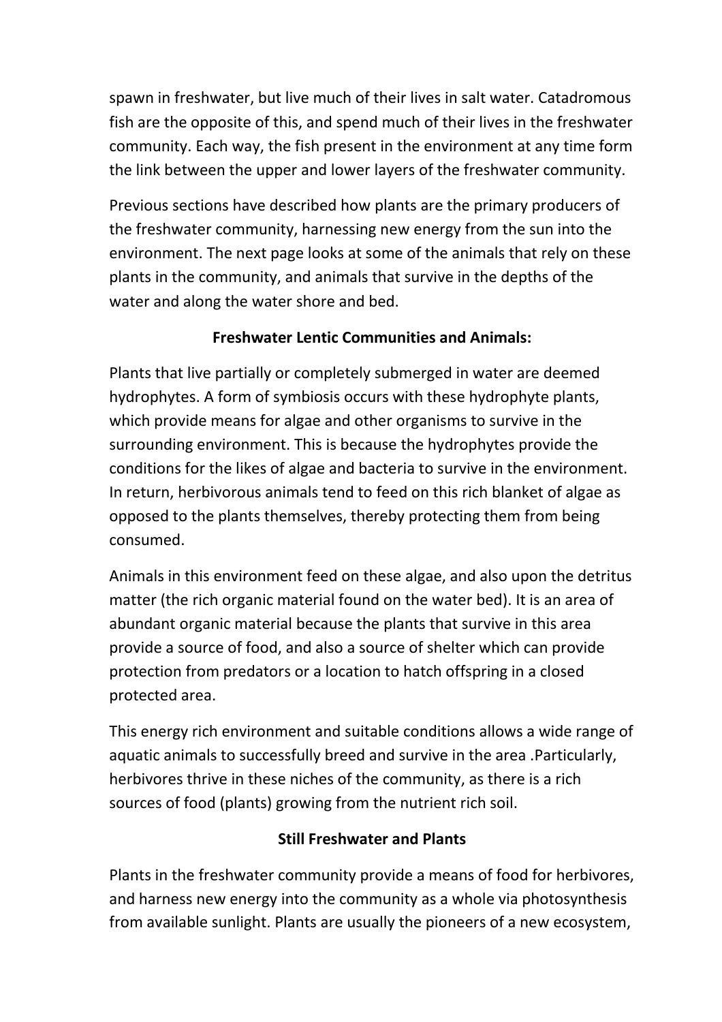spawn in freshwater, but live much of their lives in salt water. Catadromous fish are the opposite of this, and spend much of their lives in the freshwater community. Each way, the fish present in the environment at any time form the link between the upper and lower layers of the freshwater community.

Previous sections have described how plants are the primary producers of the freshwater community, harnessing new energy from the sun into the environment. The next page looks at some of the animals that rely on these plants in the community, and animals that survive in the depths of the water and along the water shore and bed.

## **Freshwater Lentic Communities and Animals:**

Plants that live partially or completely submerged in water are deemed hydrophytes. A form of symbiosis occurs with these hydrophyte plants, which provide means for algae and other organisms to survive in the surrounding environment. This is because the hydrophytes provide the conditions for the likes of algae and bacteria to survive in the environment. In return, herbivorous animals tend to feed on this rich blanket of algae as opposed to the plants themselves, thereby protecting them from being consumed.

Animals in this environment feed on these algae, and also upon the detritus matter (the rich organic material found on the water bed). It is an area of abundant organic material because the plants that survive in this area provide a source of food, and also a source of shelter which can provide protection from predators or a location to hatch offspring in a closed protected area.

This energy rich environment and suitable conditions allows a wide range of aquatic animals to successfully breed and survive in the area .Particularly, herbivores thrive in these niches of the community, as there is a rich sources of food (plants) growing from the nutrient rich soil.

### **Still Freshwater and Plants**

Plants in the freshwater community provide a means of food for herbivores, and harness new energy into the community as a whole via photosynthesis from available sunlight. Plants are usually the pioneers of a new ecosystem,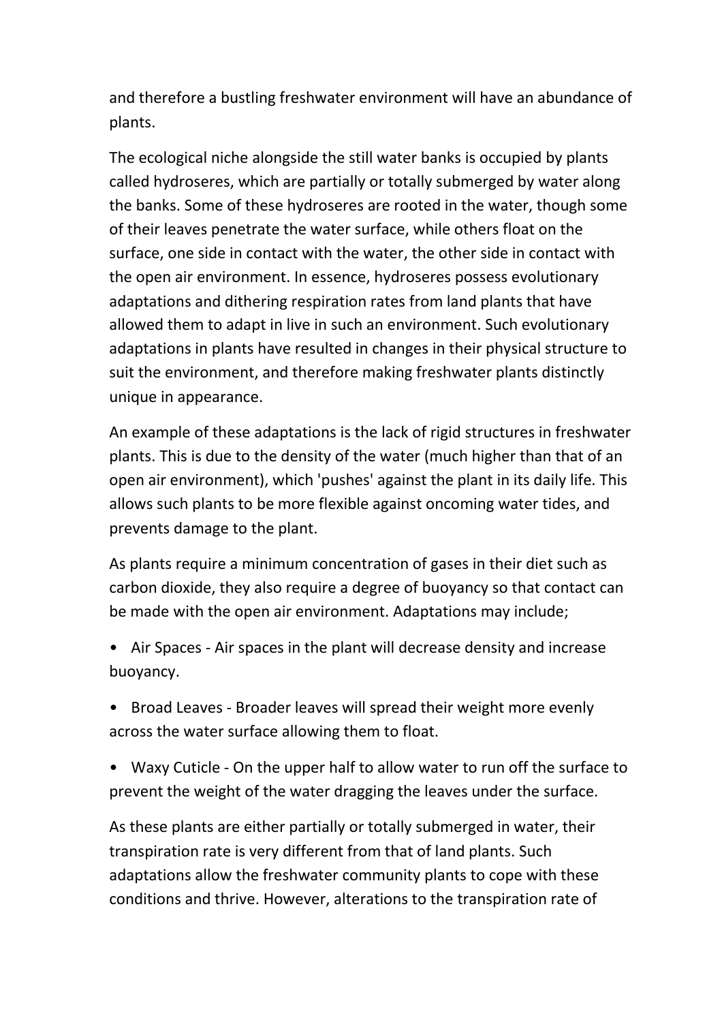and therefore a bustling freshwater environment will have an abundance of plants.

The ecological niche alongside the still water banks is occupied by plants called hydroseres, which are partially or totally submerged by water along the banks. Some of these hydroseres are rooted in the water, though some of their leaves penetrate the water surface, while others float on the surface, one side in contact with the water, the other side in contact with the open air environment. In essence, hydroseres possess evolutionary adaptations and dithering respiration rates from land plants that have allowed them to adapt in live in such an environment. Such evolutionary adaptations in plants have resulted in changes in their physical structure to suit the environment, and therefore making freshwater plants distinctly unique in appearance.

An example of these adaptations is the lack of rigid structures in freshwater plants. This is due to the density of the water (much higher than that of an open air environment), which 'pushes' against the plant in its daily life. This allows such plants to be more flexible against oncoming water tides, and prevents damage to the plant.

As plants require a minimum concentration of gases in their diet such as carbon dioxide, they also require a degree of buoyancy so that contact can be made with the open air environment. Adaptations may include;

- Air Spaces Air spaces in the plant will decrease density and increase buoyancy.
- Broad Leaves Broader leaves will spread their weight more evenly across the water surface allowing them to float.
- Waxy Cuticle On the upper half to allow water to run off the surface to prevent the weight of the water dragging the leaves under the surface.

As these plants are either partially or totally submerged in water, their transpiration rate is very different from that of land plants. Such adaptations allow the freshwater community plants to cope with these conditions and thrive. However, alterations to the transpiration rate of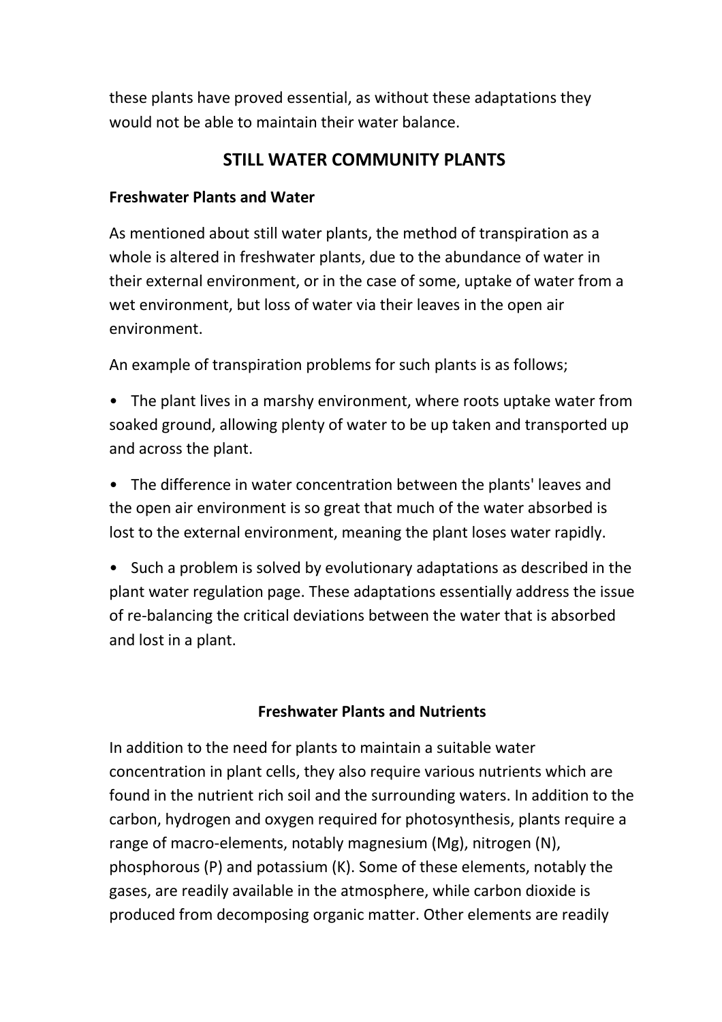these plants have proved essential, as without these adaptations they would not be able to maintain their water balance.

### **STILL WATER COMMUNITY PLANTS**

#### **Freshwater Plants and Water**

As mentioned about still water plants, the method of transpiration as a whole is altered in freshwater plants, due to the abundance of water in their external environment, or in the case of some, uptake of water from a wet environment, but loss of water via their leaves in the open air environment.

An example of transpiration problems for such plants is as follows;

• The plant lives in a marshy environment, where roots uptake water from soaked ground, allowing plenty of water to be up taken and transported up and across the plant.

• The difference in water concentration between the plants' leaves and the open air environment is so great that much of the water absorbed is lost to the external environment, meaning the plant loses water rapidly.

• Such a problem is solved by evolutionary adaptations as described in the plant water regulation page. These adaptations essentially address the issue of re-balancing the critical deviations between the water that is absorbed and lost in a plant.

### **Freshwater Plants and Nutrients**

In addition to the need for plants to maintain a suitable water concentration in plant cells, they also require various nutrients which are found in the nutrient rich soil and the surrounding waters. In addition to the carbon, hydrogen and oxygen required for photosynthesis, plants require a range of macro-elements, notably magnesium (Mg), nitrogen (N), phosphorous (P) and potassium (K). Some of these elements, notably the gases, are readily available in the atmosphere, while carbon dioxide is produced from decomposing organic matter. Other elements are readily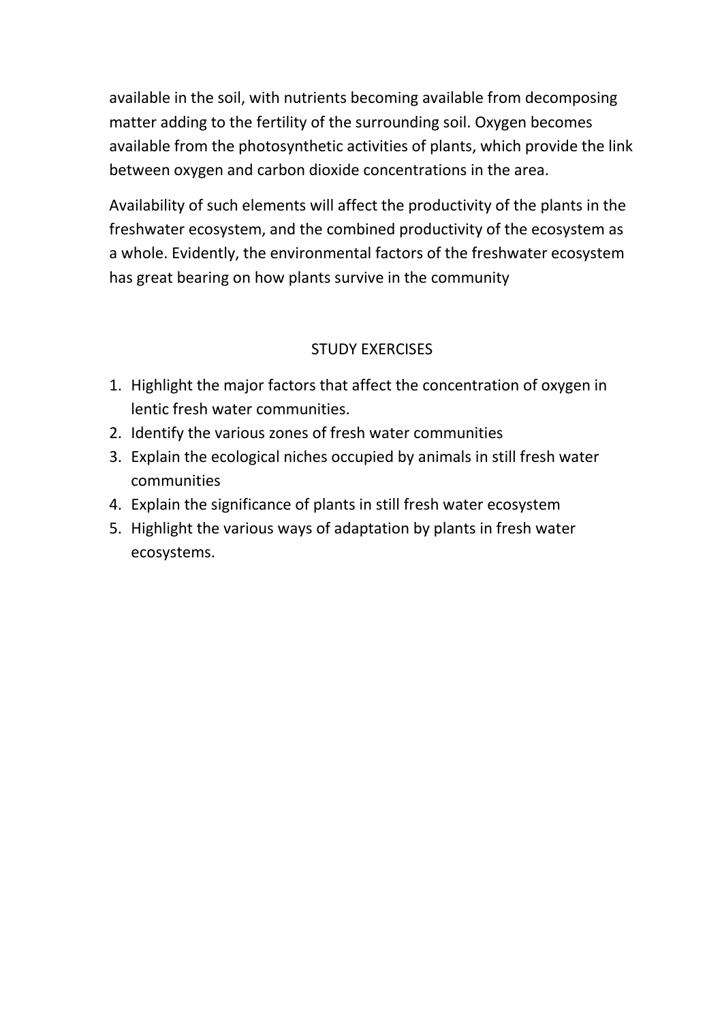available in the soil, with nutrients becoming available from decomposing matter adding to the fertility of the surrounding soil. Oxygen becomes available from the photosynthetic activities of plants, which provide the link between oxygen and carbon dioxide concentrations in the area.

Availability of such elements will affect the productivity of the plants in the freshwater ecosystem, and the combined productivity of the ecosystem as a whole. Evidently, the environmental factors of the freshwater ecosystem has great bearing on how plants survive in the community

### STUDY EXERCISES

- 1. Highlight the major factors that affect the concentration of oxygen in lentic fresh water communities.
- 2. Identify the various zones of fresh water communities
- 3. Explain the ecological niches occupied by animals in still fresh water communities
- 4. Explain the significance of plants in still fresh water ecosystem
- 5. Highlight the various ways of adaptation by plants in fresh water ecosystems.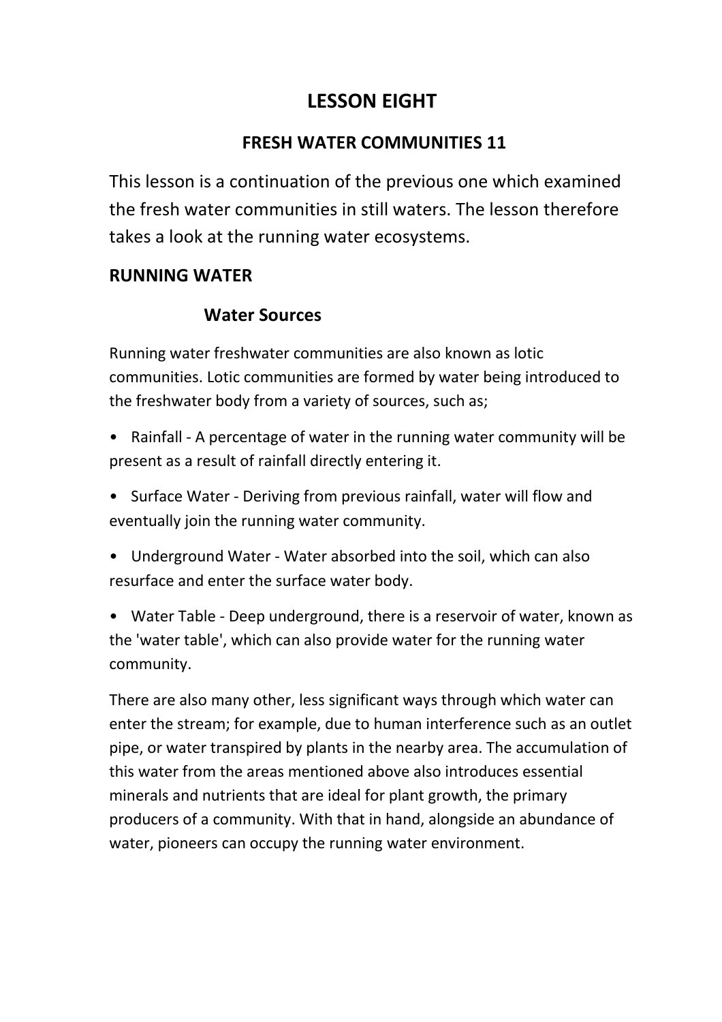# **LESSON EIGHT**

## **FRESH WATER COMMUNITIES 11**

This lesson is a continuation of the previous one which examined the fresh water communities in still waters. The lesson therefore takes a look at the running water ecosystems.

## **RUNNING WATER**

### **Water Sources**

Running water freshwater communities are also known as lotic communities. Lotic communities are formed by water being introduced to the freshwater body from a variety of sources, such as;

- Rainfall A percentage of water in the running water community will be present as a result of rainfall directly entering it.
- Surface Water Deriving from previous rainfall, water will flow and eventually join the running water community.
- Underground Water Water absorbed into the soil, which can also resurface and enter the surface water body.
- Water Table Deep underground, there is a reservoir of water, known as the 'water table', which can also provide water for the running water community.

There are also many other, less significant ways through which water can enter the stream; for example, due to human interference such as an outlet pipe, or water transpired by plants in the nearby area. The accumulation of this water from the areas mentioned above also introduces essential minerals and nutrients that are ideal for plant growth, the primary producers of a community. With that in hand, alongside an abundance of water, pioneers can occupy the running water environment.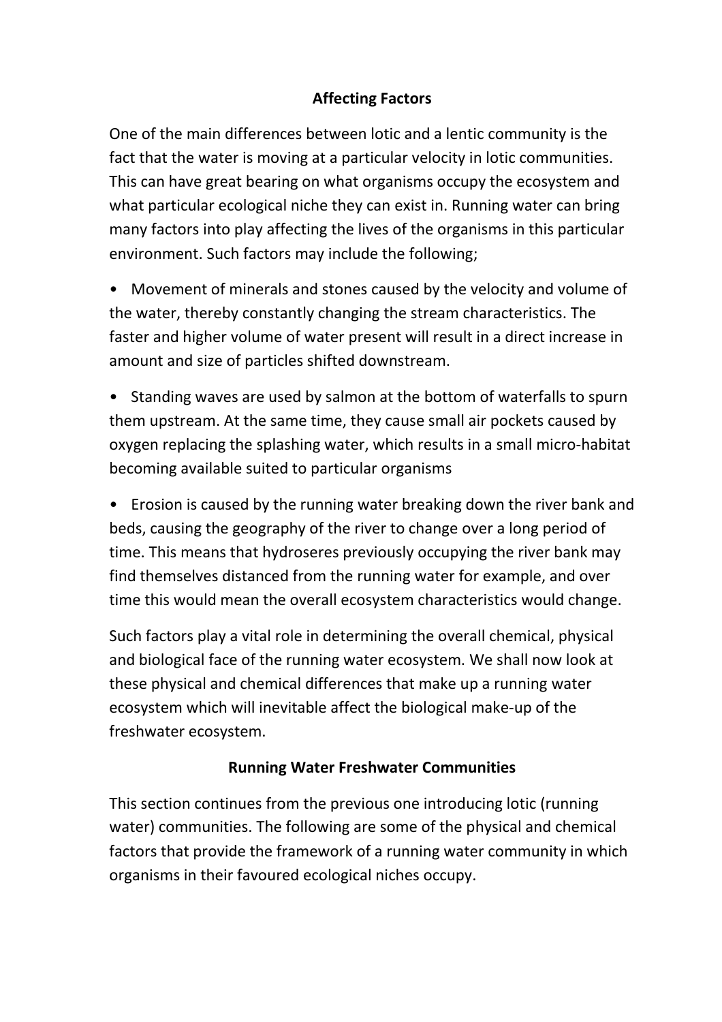### **Affecting Factors**

One of the main differences between lotic and a lentic community is the fact that the water is moving at a particular velocity in lotic communities. This can have great bearing on what organisms occupy the ecosystem and what particular ecological niche they can exist in. Running water can bring many factors into play affecting the lives of the organisms in this particular environment. Such factors may include the following;

• Movement of minerals and stones caused by the velocity and volume of the water, thereby constantly changing the stream characteristics. The faster and higher volume of water present will result in a direct increase in amount and size of particles shifted downstream.

• Standing waves are used by salmon at the bottom of waterfalls to spurn them upstream. At the same time, they cause small air pockets caused by oxygen replacing the splashing water, which results in a small micro-habitat becoming available suited to particular organisms

• Erosion is caused by the running water breaking down the river bank and beds, causing the geography of the river to change over a long period of time. This means that hydroseres previously occupying the river bank may find themselves distanced from the running water for example, and over time this would mean the overall ecosystem characteristics would change.

Such factors play a vital role in determining the overall chemical, physical and biological face of the running water ecosystem. We shall now look at these physical and chemical differences that make up a running water ecosystem which will inevitable affect the biological make-up of the freshwater ecosystem.

### **Running Water Freshwater Communities**

This section continues from the previous one introducing lotic (running water) communities. The following are some of the physical and chemical factors that provide the framework of a running water community in which organisms in their favoured ecological niches occupy.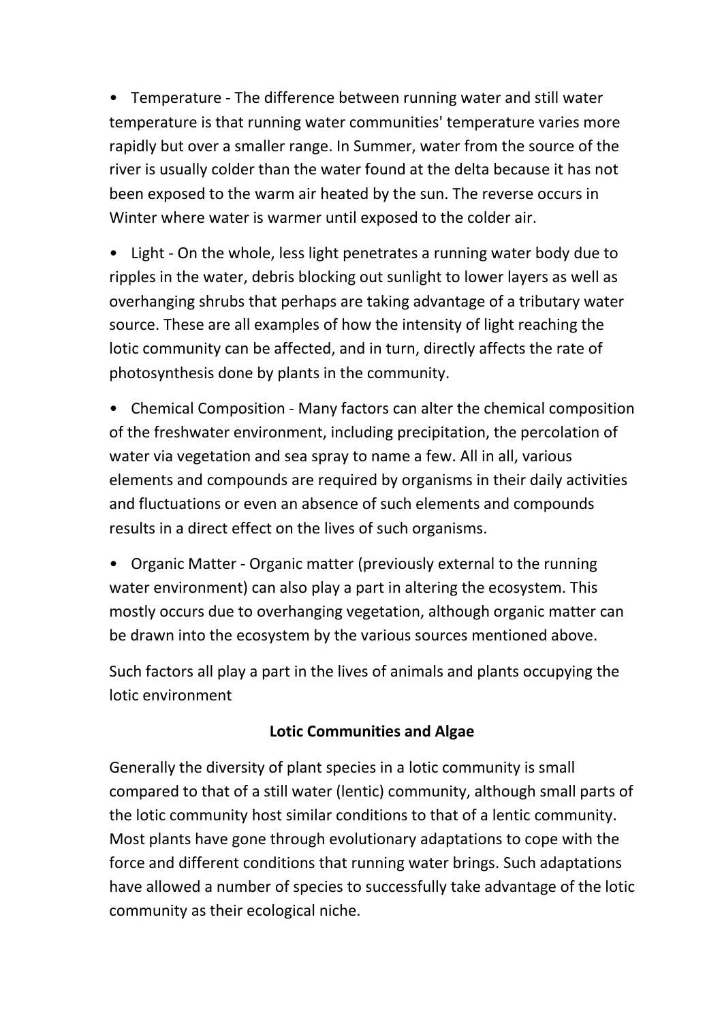• Temperature - The difference between running water and still water temperature is that running water communities' temperature varies more rapidly but over a smaller range. In Summer, water from the source of the river is usually colder than the water found at the delta because it has not been exposed to the warm air heated by the sun. The reverse occurs in Winter where water is warmer until exposed to the colder air.

• Light - On the whole, less light penetrates a running water body due to ripples in the water, debris blocking out sunlight to lower layers as well as overhanging shrubs that perhaps are taking advantage of a tributary water source. These are all examples of how the intensity of light reaching the lotic community can be affected, and in turn, directly affects the rate of photosynthesis done by plants in the community.

• Chemical Composition - Many factors can alter the chemical composition of the freshwater environment, including precipitation, the percolation of water via vegetation and sea spray to name a few. All in all, various elements and compounds are required by organisms in their daily activities and fluctuations or even an absence of such elements and compounds results in a direct effect on the lives of such organisms.

• Organic Matter - Organic matter (previously external to the running water environment) can also play a part in altering the ecosystem. This mostly occurs due to overhanging vegetation, although organic matter can be drawn into the ecosystem by the various sources mentioned above.

Such factors all play a part in the lives of animals and plants occupying the lotic environment

### **Lotic Communities and Algae**

Generally the diversity of plant species in a lotic community is small compared to that of a still water (lentic) community, although small parts of the lotic community host similar conditions to that of a lentic community. Most plants have gone through evolutionary adaptations to cope with the force and different conditions that running water brings. Such adaptations have allowed a number of species to successfully take advantage of the lotic community as their ecological niche.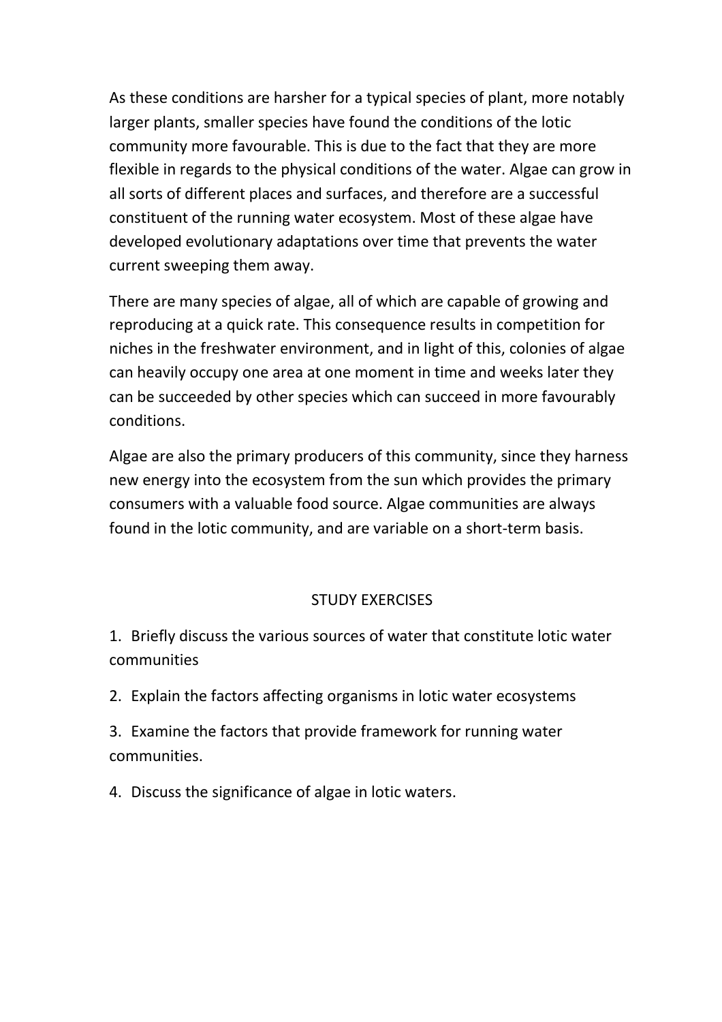As these conditions are harsher for a typical species of plant, more notably larger plants, smaller species have found the conditions of the lotic community more favourable. This is due to the fact that they are more flexible in regards to the physical conditions of the water. Algae can grow in all sorts of different places and surfaces, and therefore are a successful constituent of the running water ecosystem. Most of these algae have developed evolutionary adaptations over time that prevents the water current sweeping them away.

There are many species of algae, all of which are capable of growing and reproducing at a quick rate. This consequence results in competition for niches in the freshwater environment, and in light of this, colonies of algae can heavily occupy one area at one moment in time and weeks later they can be succeeded by other species which can succeed in more favourably conditions.

Algae are also the primary producers of this community, since they harness new energy into the ecosystem from the sun which provides the primary consumers with a valuable food source. Algae communities are always found in the lotic community, and are variable on a short-term basis.

### STUDY EXERCISES

1. Briefly discuss the various sources of water that constitute lotic water communities

2. Explain the factors affecting organisms in lotic water ecosystems

3. Examine the factors that provide framework for running water communities.

4. Discuss the significance of algae in lotic waters.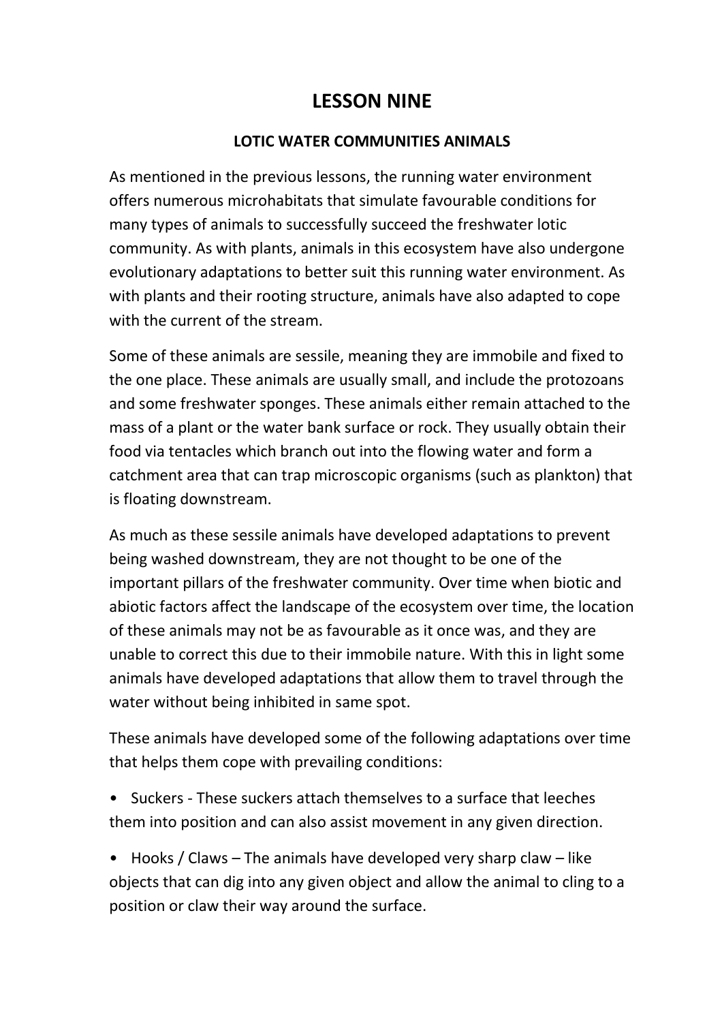## **LESSON NINE**

#### **LOTIC WATER COMMUNITIES ANIMALS**

As mentioned in the previous lessons, the running water environment offers numerous microhabitats that simulate favourable conditions for many types of animals to successfully succeed the freshwater lotic community. As with plants, animals in this ecosystem have also undergone evolutionary adaptations to better suit this running water environment. As with plants and their rooting structure, animals have also adapted to cope with the current of the stream.

Some of these animals are sessile, meaning they are immobile and fixed to the one place. These animals are usually small, and include the protozoans and some freshwater sponges. These animals either remain attached to the mass of a plant or the water bank surface or rock. They usually obtain their food via tentacles which branch out into the flowing water and form a catchment area that can trap microscopic organisms (such as plankton) that is floating downstream.

As much as these sessile animals have developed adaptations to prevent being washed downstream, they are not thought to be one of the important pillars of the freshwater community. Over time when biotic and abiotic factors affect the landscape of the ecosystem over time, the location of these animals may not be as favourable as it once was, and they are unable to correct this due to their immobile nature. With this in light some animals have developed adaptations that allow them to travel through the water without being inhibited in same spot.

These animals have developed some of the following adaptations over time that helps them cope with prevailing conditions:

• Suckers - These suckers attach themselves to a surface that leeches them into position and can also assist movement in any given direction.

• Hooks / Claws – The animals have developed very sharp claw – like objects that can dig into any given object and allow the animal to cling to a position or claw their way around the surface.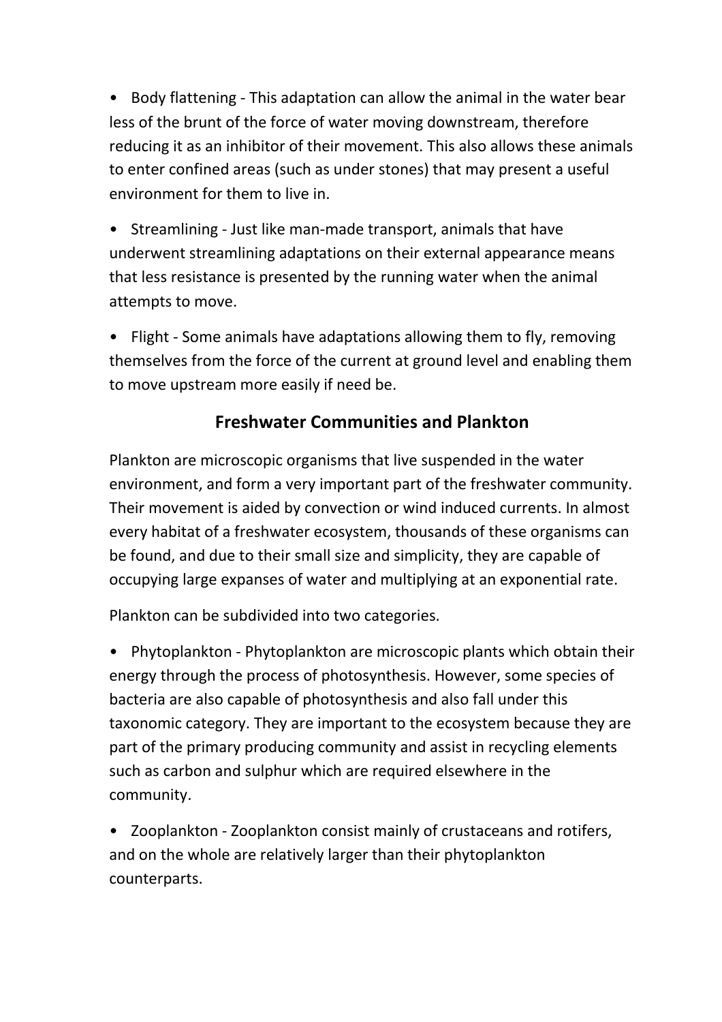• Body flattening - This adaptation can allow the animal in the water bear less of the brunt of the force of water moving downstream, therefore reducing it as an inhibitor of their movement. This also allows these animals to enter confined areas (such as under stones) that may present a useful environment for them to live in.

• Streamlining - Just like man-made transport, animals that have underwent streamlining adaptations on their external appearance means that less resistance is presented by the running water when the animal attempts to move.

• Flight - Some animals have adaptations allowing them to fly, removing themselves from the force of the current at ground level and enabling them to move upstream more easily if need be.

## **Freshwater Communities and Plankton**

Plankton are microscopic organisms that live suspended in the water environment, and form a very important part of the freshwater community. Their movement is aided by convection or wind induced currents. In almost every habitat of a freshwater ecosystem, thousands of these organisms can be found, and due to their small size and simplicity, they are capable of occupying large expanses of water and multiplying at an exponential rate.

Plankton can be subdivided into two categories.

• Phytoplankton - Phytoplankton are microscopic plants which obtain their energy through the process of photosynthesis. However, some species of bacteria are also capable of photosynthesis and also fall under this taxonomic category. They are important to the ecosystem because they are part of the primary producing community and assist in recycling elements such as carbon and sulphur which are required elsewhere in the community.

• Zooplankton - Zooplankton consist mainly of crustaceans and rotifers, and on the whole are relatively larger than their phytoplankton counterparts.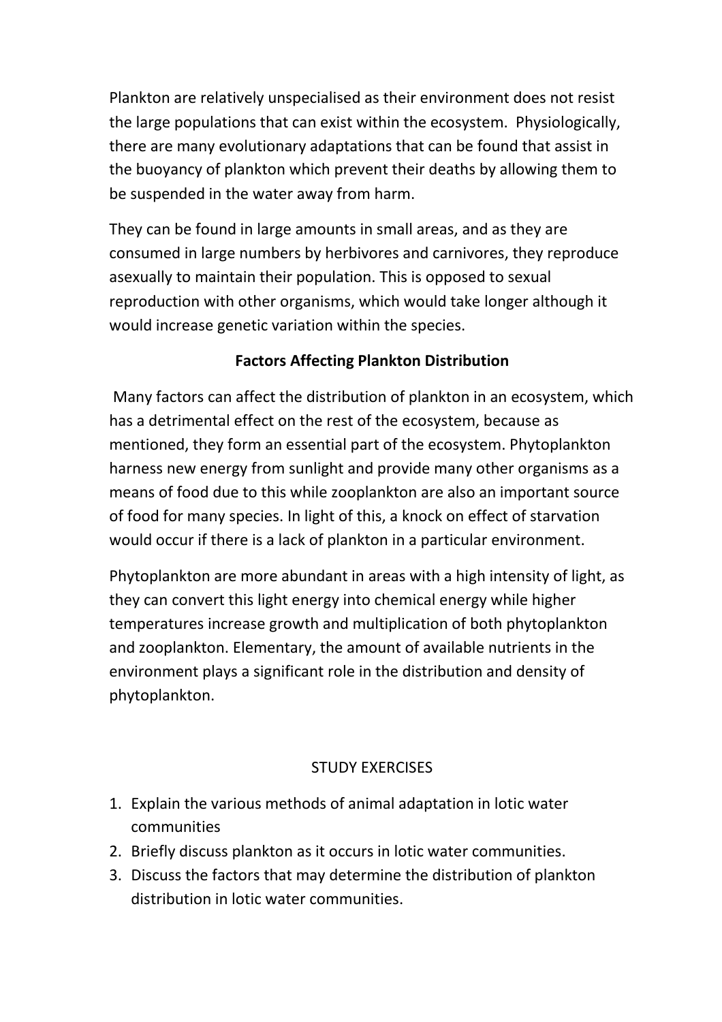Plankton are relatively unspecialised as their environment does not resist the large populations that can exist within the ecosystem. Physiologically, there are many evolutionary adaptations that can be found that assist in the buoyancy of plankton which prevent their deaths by allowing them to be suspended in the water away from harm.

They can be found in large amounts in small areas, and as they are consumed in large numbers by herbivores and carnivores, they reproduce asexually to maintain their population. This is opposed to sexual reproduction with other organisms, which would take longer although it would increase genetic variation within the species.

### **Factors Affecting Plankton Distribution**

 Many factors can affect the distribution of plankton in an ecosystem, which has a detrimental effect on the rest of the ecosystem, because as mentioned, they form an essential part of the ecosystem. Phytoplankton harness new energy from sunlight and provide many other organisms as a means of food due to this while zooplankton are also an important source of food for many species. In light of this, a knock on effect of starvation would occur if there is a lack of plankton in a particular environment.

Phytoplankton are more abundant in areas with a high intensity of light, as they can convert this light energy into chemical energy while higher temperatures increase growth and multiplication of both phytoplankton and zooplankton. Elementary, the amount of available nutrients in the environment plays a significant role in the distribution and density of phytoplankton.

### STUDY EXERCISES

- 1. Explain the various methods of animal adaptation in lotic water communities
- 2. Briefly discuss plankton as it occurs in lotic water communities.
- 3. Discuss the factors that may determine the distribution of plankton distribution in lotic water communities.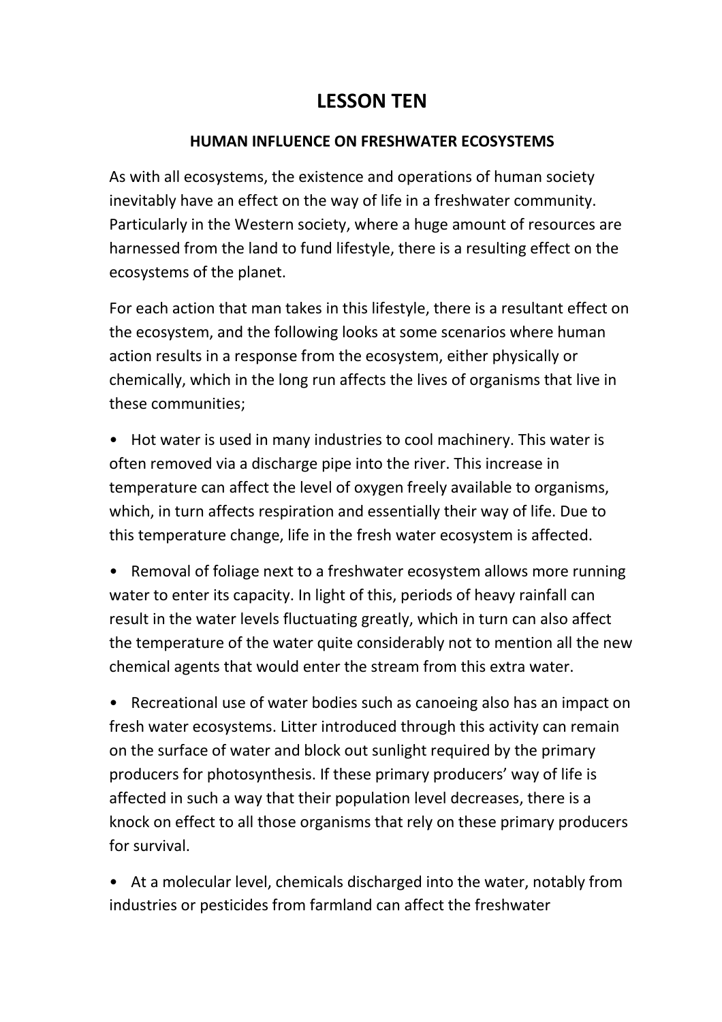# **LESSON TEN**

#### **HUMAN INFLUENCE ON FRESHWATER ECOSYSTEMS**

As with all ecosystems, the existence and operations of human society inevitably have an effect on the way of life in a freshwater community. Particularly in the Western society, where a huge amount of resources are harnessed from the land to fund lifestyle, there is a resulting effect on the ecosystems of the planet.

For each action that man takes in this lifestyle, there is a resultant effect on the ecosystem, and the following looks at some scenarios where human action results in a response from the ecosystem, either physically or chemically, which in the long run affects the lives of organisms that live in these communities;

• Hot water is used in many industries to cool machinery. This water is often removed via a discharge pipe into the river. This increase in temperature can affect the level of oxygen freely available to organisms, which, in turn affects respiration and essentially their way of life. Due to this temperature change, life in the fresh water ecosystem is affected.

• Removal of foliage next to a freshwater ecosystem allows more running water to enter its capacity. In light of this, periods of heavy rainfall can result in the water levels fluctuating greatly, which in turn can also affect the temperature of the water quite considerably not to mention all the new chemical agents that would enter the stream from this extra water.

• Recreational use of water bodies such as canoeing also has an impact on fresh water ecosystems. Litter introduced through this activity can remain on the surface of water and block out sunlight required by the primary producers for photosynthesis. If these primary producers' way of life is affected in such a way that their population level decreases, there is a knock on effect to all those organisms that rely on these primary producers for survival.

• At a molecular level, chemicals discharged into the water, notably from industries or pesticides from farmland can affect the freshwater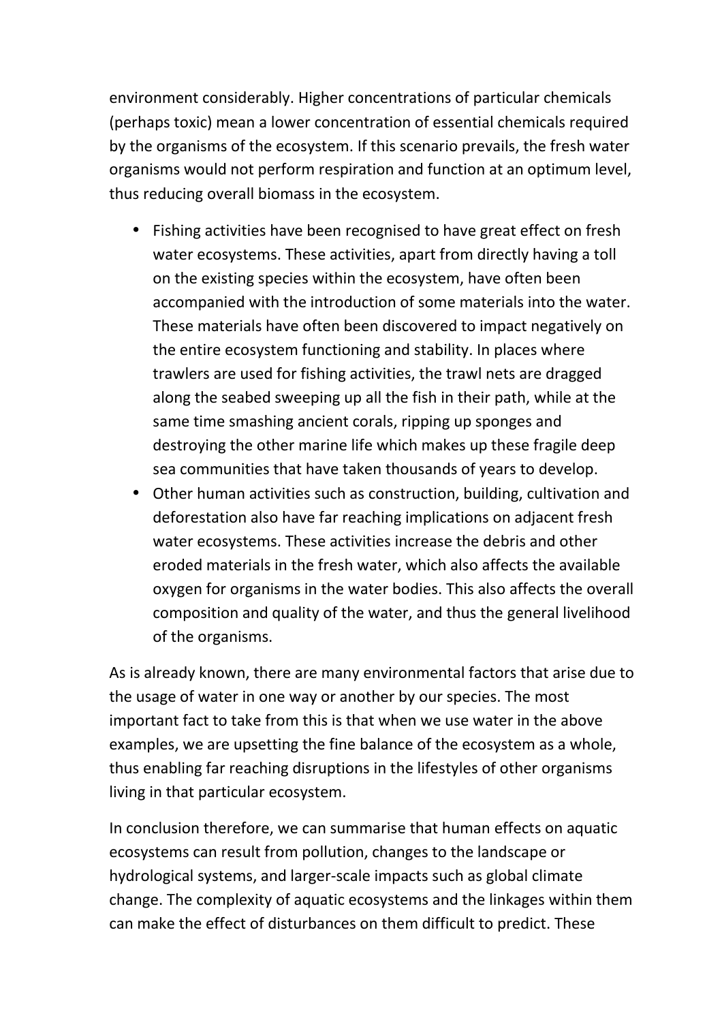environment considerably. Higher concentrations of particular chemicals (perhaps toxic) mean a lower concentration of essential chemicals required by the organisms of the ecosystem. If this scenario prevails, the fresh water organisms would not perform respiration and function at an optimum level, thus reducing overall biomass in the ecosystem.

- Fishing activities have been recognised to have great effect on fresh water ecosystems. These activities, apart from directly having a toll on the existing species within the ecosystem, have often been accompanied with the introduction of some materials into the water. These materials have often been discovered to impact negatively on the entire ecosystem functioning and stability. In places where trawlers are used for fishing activities, the trawl nets are dragged along the seabed sweeping up all the fish in their path, while at the same time smashing ancient corals, ripping up sponges and destroying the other marine life which makes up these fragile deep sea communities that have taken thousands of years to develop.
- Other human activities such as construction, building, cultivation and deforestation also have far reaching implications on adjacent fresh water ecosystems. These activities increase the debris and other eroded materials in the fresh water, which also affects the available oxygen for organisms in the water bodies. This also affects the overall composition and quality of the water, and thus the general livelihood of the organisms.

As is already known, there are many environmental factors that arise due to the usage of water in one way or another by our species. The most important fact to take from this is that when we use water in the above examples, we are upsetting the fine balance of the ecosystem as a whole, thus enabling far reaching disruptions in the lifestyles of other organisms living in that particular ecosystem.

In conclusion therefore, we can summarise that human effects on aquatic ecosystems can result from pollution, changes to the landscape or hydrological systems, and larger-scale impacts such as global climate change. The complexity of aquatic ecosystems and the linkages within them can make the effect of disturbances on them difficult to predict. These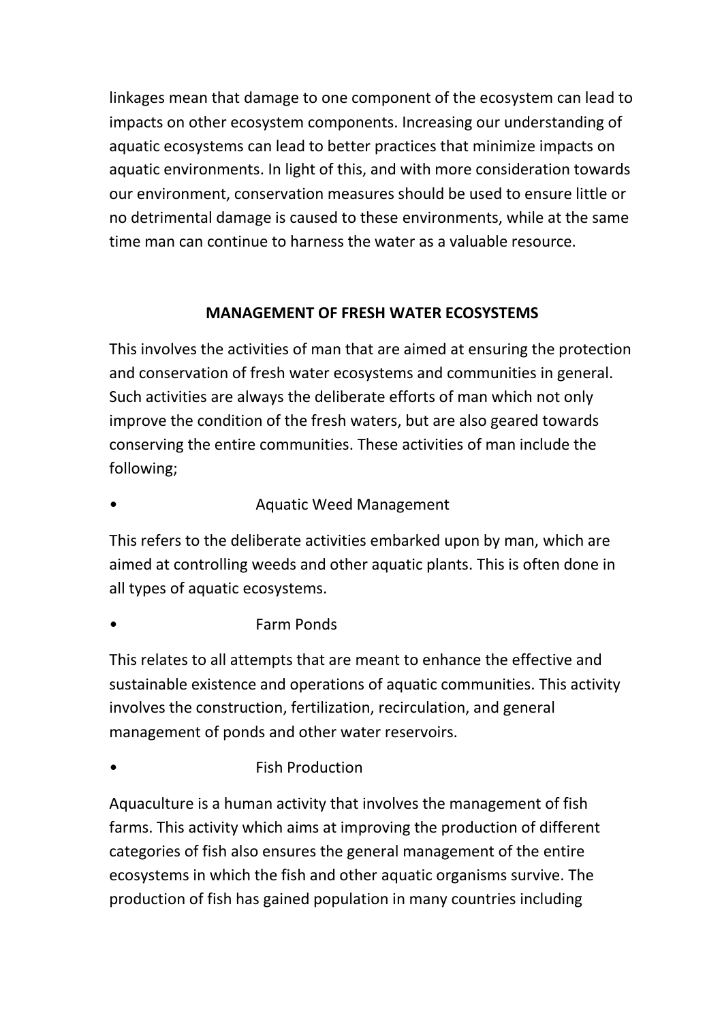linkages mean that damage to one component of the ecosystem can lead to impacts on other ecosystem components. Increasing our understanding of aquatic ecosystems can lead to better practices that minimize impacts on aquatic environments. In light of this, and with more consideration towards our environment, conservation measures should be used to ensure little or no detrimental damage is caused to these environments, while at the same time man can continue to harness the water as a valuable resource.

### **MANAGEMENT OF FRESH WATER ECOSYSTEMS**

This involves the activities of man that are aimed at ensuring the protection and conservation of fresh water ecosystems and communities in general. Such activities are always the deliberate efforts of man which not only improve the condition of the fresh waters, but are also geared towards conserving the entire communities. These activities of man include the following;

### • Aquatic Weed Management

This refers to the deliberate activities embarked upon by man, which are aimed at controlling weeds and other aquatic plants. This is often done in all types of aquatic ecosystems.

### • Farm Ponds

This relates to all attempts that are meant to enhance the effective and sustainable existence and operations of aquatic communities. This activity involves the construction, fertilization, recirculation, and general management of ponds and other water reservoirs.

• **Fish Production** 

Aquaculture is a human activity that involves the management of fish farms. This activity which aims at improving the production of different categories of fish also ensures the general management of the entire ecosystems in which the fish and other aquatic organisms survive. The production of fish has gained population in many countries including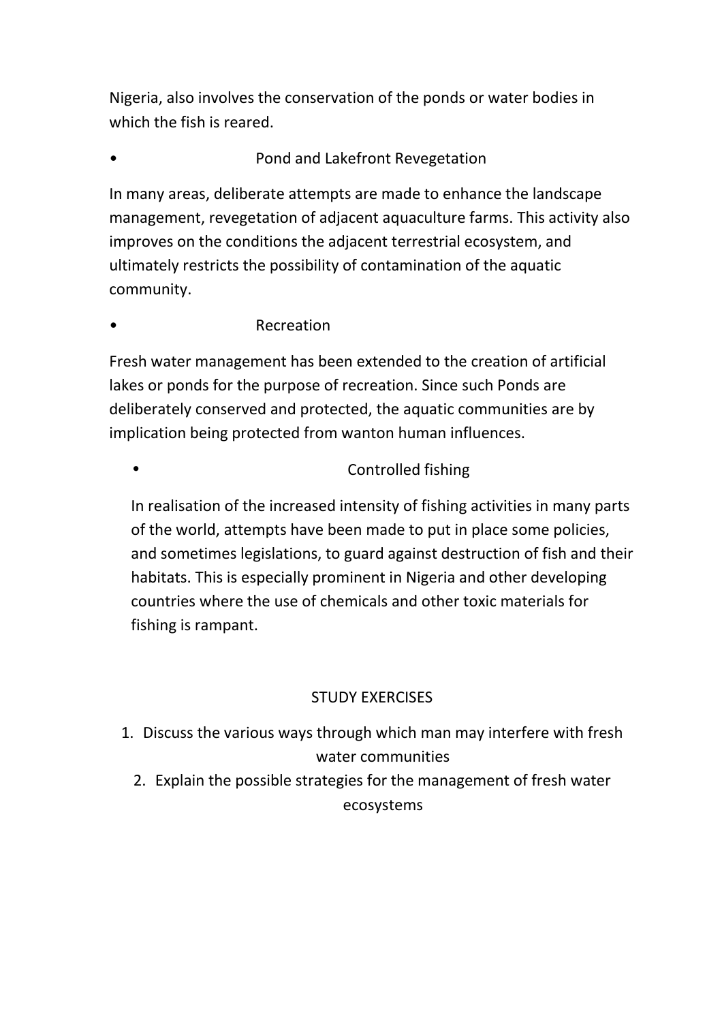Nigeria, also involves the conservation of the ponds or water bodies in which the fish is reared.

### • Pond and Lakefront Revegetation

In many areas, deliberate attempts are made to enhance the landscape management, revegetation of adjacent aquaculture farms. This activity also improves on the conditions the adjacent terrestrial ecosystem, and ultimately restricts the possibility of contamination of the aquatic community.

### **Recreation**

Fresh water management has been extended to the creation of artificial lakes or ponds for the purpose of recreation. Since such Ponds are deliberately conserved and protected, the aquatic communities are by implication being protected from wanton human influences.

#### • **• • Controlled fishing**

In realisation of the increased intensity of fishing activities in many parts of the world, attempts have been made to put in place some policies, and sometimes legislations, to guard against destruction of fish and their habitats. This is especially prominent in Nigeria and other developing countries where the use of chemicals and other toxic materials for fishing is rampant.

### STUDY EXERCISES

- 1. Discuss the various ways through which man may interfere with fresh water communities
	- 2. Explain the possible strategies for the management of fresh water ecosystems